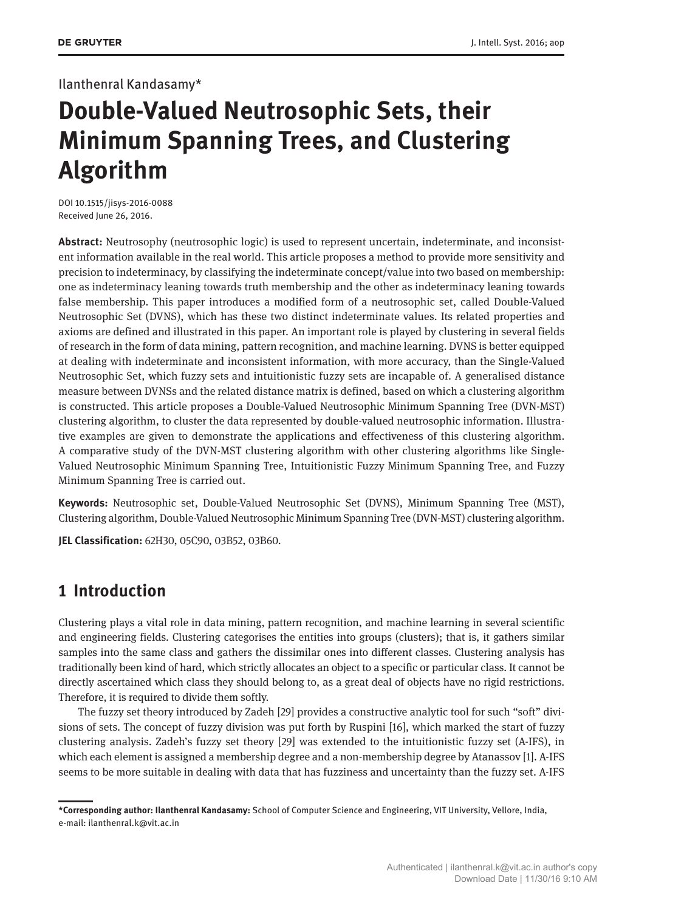## Ilanthenral Kandasamy\*

# **Double-Valued Neutrosophic Sets, their Minimum Spanning Trees, and Clustering Algorithm**

DOI 10.1515/jisys-2016-0088 Received June 26, 2016.

**Abstract:** Neutrosophy (neutrosophic logic) is used to represent uncertain, indeterminate, and inconsistent information available in the real world. This article proposes a method to provide more sensitivity and precision to indeterminacy, by classifying the indeterminate concept/value into two based on membership: one as indeterminacy leaning towards truth membership and the other as indeterminacy leaning towards false membership. This paper introduces a modified form of a neutrosophic set, called Double-Valued Neutrosophic Set (DVNS), which has these two distinct indeterminate values. Its related properties and axioms are defined and illustrated in this paper. An important role is played by clustering in several fields of research in the form of data mining, pattern recognition, and machine learning. DVNS is better equipped at dealing with indeterminate and inconsistent information, with more accuracy, than the Single-Valued Neutrosophic Set, which fuzzy sets and intuitionistic fuzzy sets are incapable of. A generalised distance measure between DVNSs and the related distance matrix is defined, based on which a clustering algorithm is constructed. This article proposes a Double-Valued Neutrosophic Minimum Spanning Tree (DVN-MST) clustering algorithm, to cluster the data represented by double-valued neutrosophic information. Illustrative examples are given to demonstrate the applications and effectiveness of this clustering algorithm. A comparative study of the DVN-MST clustering algorithm with other clustering algorithms like Single-Valued Neutrosophic Minimum Spanning Tree, Intuitionistic Fuzzy Minimum Spanning Tree, and Fuzzy Minimum Spanning Tree is carried out.

**Keywords:** Neutrosophic set, Double-Valued Neutrosophic Set (DVNS), Minimum Spanning Tree (MST), Clustering algorithm, Double-Valued Neutrosophic Minimum Spanning Tree (DVN-MST) clustering algorithm.

**JEL Classification:** 62H30, 05C90, 03B52, 03B60.

# **1 Introduction**

Clustering plays a vital role in data mining, pattern recognition, and machine learning in several scientific and engineering fields. Clustering categorises the entities into groups (clusters); that is, it gathers similar samples into the same class and gathers the dissimilar ones into different classes. Clustering analysis has traditionally been kind of hard, which strictly allocates an object to a specific or particular class. It cannot be directly ascertained which class they should belong to, as a great deal of objects have no rigid restrictions. Therefore, it is required to divide them softly.

The fuzzy set theory introduced by Zadeh [29] provides a constructive analytic tool for such "soft" divisions of sets. The concept of fuzzy division was put forth by Ruspini [16], which marked the start of fuzzy clustering analysis. Zadeh's fuzzy set theory [29] was extended to the intuitionistic fuzzy set (A-IFS), in which each element is assigned a membership degree and a non-membership degree by Atanassov [1]. A-IFS seems to be more suitable in dealing with data that has fuzziness and uncertainty than the fuzzy set. A-IFS

**<sup>\*</sup>Corresponding author: Ilanthenral Kandasamy:** School of Computer Science and Engineering, VIT University, Vellore, India, e-mail: ilanthenral.k@vit.ac.in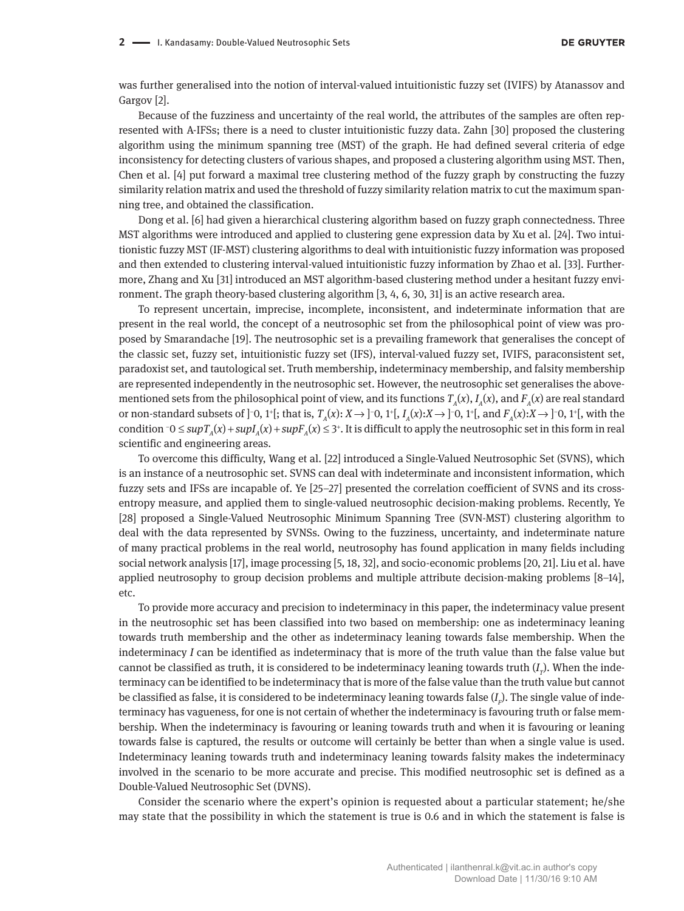was further generalised into the notion of interval-valued intuitionistic fuzzy set (IVIFS) by Atanassov and Gargov [2].

Because of the fuzziness and uncertainty of the real world, the attributes of the samples are often represented with A-IFSs; there is a need to cluster intuitionistic fuzzy data. Zahn [30] proposed the clustering algorithm using the minimum spanning tree (MST) of the graph. He had defined several criteria of edge inconsistency for detecting clusters of various shapes, and proposed a clustering algorithm using MST. Then, Chen et al. [4] put forward a maximal tree clustering method of the fuzzy graph by constructing the fuzzy similarity relation matrix and used the threshold of fuzzy similarity relation matrix to cut the maximum spanning tree, and obtained the classification.

Dong et al. [6] had given a hierarchical clustering algorithm based on fuzzy graph connectedness. Three MST algorithms were introduced and applied to clustering gene expression data by Xu et al. [24]. Two intuitionistic fuzzy MST (IF-MST) clustering algorithms to deal with intuitionistic fuzzy information was proposed and then extended to clustering interval-valued intuitionistic fuzzy information by Zhao et al. [33]. Furthermore, Zhang and Xu [31] introduced an MST algorithm-based clustering method under a hesitant fuzzy environment. The graph theory-based clustering algorithm [3, 4, 6, 30, 31] is an active research area.

To represent uncertain, imprecise, incomplete, inconsistent, and indeterminate information that are present in the real world, the concept of a neutrosophic set from the philosophical point of view was proposed by Smarandache [19]. The neutrosophic set is a prevailing framework that generalises the concept of the classic set, fuzzy set, intuitionistic fuzzy set (IFS), interval-valued fuzzy set, IVIFS, paraconsistent set, paradoxist set, and tautological set. Truth membership, indeterminacy membership, and falsity membership are represented independently in the neutrosophic set. However, the neutrosophic set generalises the abovementioned sets from the philosophical point of view, and its functions  $T_A(x)$ ,  $I_A(x)$ , and  $F_A(x)$  are real standard or non-standard subsets of ]−0, 1<sup>+</sup>[; that is, *T<sub>A</sub>*(*x*): *X* → ]−0, 1<sup>+</sup>[, *I<sub>A</sub>*(*x*):*X* → ]−0, 1<sup>+</sup>[, and *F<sub>A</sub>*(*x*):*X* → ]−0, 1<sup>+</sup>[, with the condition  $\text{-}0$  ≤  $\text{sup}T_A(x)$  +  $\text{sup}T_A(x)$  +  $\text{sup}F_A(x)$  ≤ 3<sup>+</sup>. It is difficult to apply the neutrosophic set in this form in real scientific and engineering areas.

To overcome this difficulty, Wang et al. [22] introduced a Single-Valued Neutrosophic Set (SVNS), which is an instance of a neutrosophic set. SVNS can deal with indeterminate and inconsistent information, which fuzzy sets and IFSs are incapable of. Ye [25–27] presented the correlation coefficient of SVNS and its crossentropy measure, and applied them to single-valued neutrosophic decision-making problems. Recently, Ye [28] proposed a Single-Valued Neutrosophic Minimum Spanning Tree (SVN-MST) clustering algorithm to deal with the data represented by SVNSs. Owing to the fuzziness, uncertainty, and indeterminate nature of many practical problems in the real world, neutrosophy has found application in many fields including social network analysis [17], image processing [5, 18, 32], and socio-economic problems [20, 21]. Liu et al. have applied neutrosophy to group decision problems and multiple attribute decision-making problems [8–14], etc.

To provide more accuracy and precision to indeterminacy in this paper, the indeterminacy value present in the neutrosophic set has been classified into two based on membership: one as indeterminacy leaning towards truth membership and the other as indeterminacy leaning towards false membership. When the indeterminacy *I* can be identified as indeterminacy that is more of the truth value than the false value but cannot be classified as truth, it is considered to be indeterminacy leaning towards truth  $(I_p$ ). When the indeterminacy can be identified to be indeterminacy that is more of the false value than the truth value but cannot be classified as false, it is considered to be indeterminacy leaning towards false  $(I_{\scriptscriptstyle F}\!)$ . The single value of indeterminacy has vagueness, for one is not certain of whether the indeterminacy is favouring truth or false membership. When the indeterminacy is favouring or leaning towards truth and when it is favouring or leaning towards false is captured, the results or outcome will certainly be better than when a single value is used. Indeterminacy leaning towards truth and indeterminacy leaning towards falsity makes the indeterminacy involved in the scenario to be more accurate and precise. This modified neutrosophic set is defined as a Double-Valued Neutrosophic Set (DVNS).

Consider the scenario where the expert's opinion is requested about a particular statement; he/she may state that the possibility in which the statement is true is 0.6 and in which the statement is false is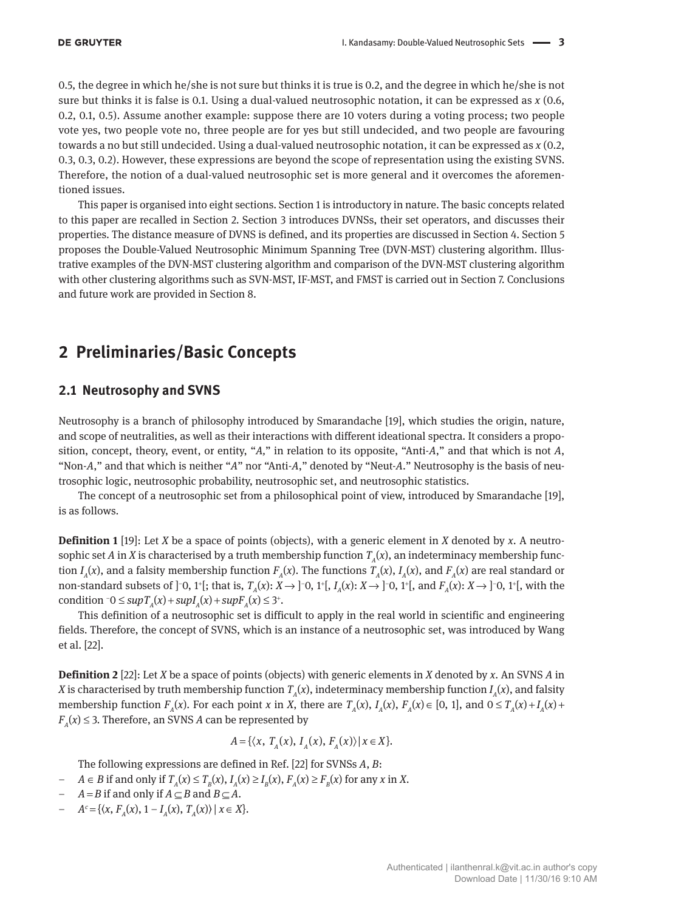0.5, the degree in which he/she is not sure but thinks it is true is 0.2, and the degree in which he/she is not sure but thinks it is false is 0.1. Using a dual-valued neutrosophic notation, it can be expressed as *x* (0.6, 0.2, 0.1, 0.5). Assume another example: suppose there are 10 voters during a voting process; two people vote yes, two people vote no, three people are for yes but still undecided, and two people are favouring towards a no but still undecided. Using a dual-valued neutrosophic notation, it can be expressed as *x* (0.2, 0.3, 0.3, 0.2). However, these expressions are beyond the scope of representation using the existing SVNS. Therefore, the notion of a dual-valued neutrosophic set is more general and it overcomes the aforementioned issues.

This paper is organised into eight sections. Section 1 is introductory in nature. The basic concepts related to this paper are recalled in Section 2. Section 3 introduces DVNSs, their set operators, and discusses their properties. The distance measure of DVNS is defined, and its properties are discussed in Section 4. Section 5 proposes the Double-Valued Neutrosophic Minimum Spanning Tree (DVN-MST) clustering algorithm. Illustrative examples of the DVN-MST clustering algorithm and comparison of the DVN-MST clustering algorithm with other clustering algorithms such as SVN-MST, IF-MST, and FMST is carried out in Section 7. Conclusions and future work are provided in Section 8.

# **2 Preliminaries/Basic Concepts**

## **2.1 Neutrosophy and SVNS**

Neutrosophy is a branch of philosophy introduced by Smarandache [19], which studies the origin, nature, and scope of neutralities, as well as their interactions with different ideational spectra. It considers a proposition, concept, theory, event, or entity, "*A,*" in relation to its opposite, "Anti-*A*," and that which is not *A*, "Non-*A*," and that which is neither "*A*" nor "Anti-*A*," denoted by "Neut-*A*." Neutrosophy is the basis of neutrosophic logic, neutrosophic probability, neutrosophic set, and neutrosophic statistics.

The concept of a neutrosophic set from a philosophical point of view, introduced by Smarandache [19], is as follows.

**Definition 1** [19]: Let *X* be a space of points (objects), with a generic element in *X* denoted by *x*. A neutrosophic set *A* in *X* is characterised by a truth membership function  $T_a(x)$ , an indeterminacy membership function  $I_A(x)$ , and a falsity membership function  $F_A(x)$ . The functions  $T_A(x)$ ,  $I_A(x)$ , and  $F_A(x)$  are real standard or non-standard subsets of ]<sup>-</sup>0, 1<sup>+</sup>[; that is,  $T_A(x): X \to ]$ <sup>-</sup>0, 1<sup>+</sup>[,  $I_A(x): X \to ]$ <sup>-</sup>0, 1<sup>+</sup>[, and  $F_A(x): X \to ]$ <sup>-</sup>0, 1<sup>+</sup>[, with the condition  $\bar{o}$  ≤ *sup* $T_A(x)$  + *sup* $T_A(x)$  + *sup* $F_A(x)$  ≤ 3<sup>+</sup>.

This definition of a neutrosophic set is difficult to apply in the real world in scientific and engineering fields. Therefore, the concept of SVNS, which is an instance of a neutrosophic set, was introduced by Wang et al. [22].

**Definition 2** [22]: Let *X* be a space of points (objects) with generic elements in *X* denoted by *x*. An SVNS *A* in *X* is characterised by truth membership function  $T_A(x)$ , indeterminacy membership function  $I_A(x)$ , and falsity membership function  $F_A(x)$ . For each point x in X, there are  $T_A(x)$ ,  $I_A(x)$ ,  $F_A(x) \in [0, 1]$ , and  $0 \le T_A(x) + I_A(x) + I_A(x)$  $F_A(x) \leq 3$ . Therefore, an SVNS *A* can be represented by

$$
A = \{ \langle x, T_A(x), I_A(x), F_A(x) \rangle \, | \, x \in X \}.
$$

The following expressions are defined in Ref. [22] for SVNSs *A*, *B*:

- *− A* ∈ *B* if and only if  $T_A(x) \le T_B(x)$ ,  $I_A(x) \ge I_B(x)$ ,  $F_A(x) \ge F_B(x)$  for any *x* in *X*.
- *A* = *B* if and only if *A* ⊆ *B* and *B* ⊆ *A*.
- $A^c = \{ \langle x, F_A(x), 1 I_A(x), T_A(x) \rangle \mid x \in X \}.$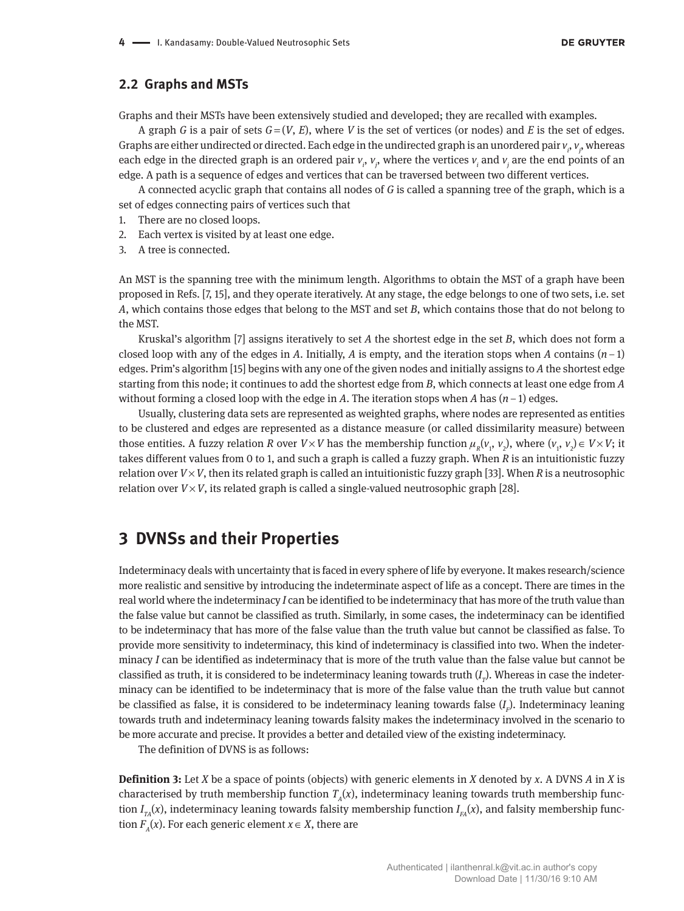#### **2.2 Graphs and MSTs**

Graphs and their MSTs have been extensively studied and developed; they are recalled with examples.

A graph *G* is a pair of sets  $G = (V, E)$ , where *V* is the set of vertices (or nodes) and *E* is the set of edges. Graphs are either undirected or directed. Each edge in the undirected graph is an unordered pair  $v_i$ ,  $v_j$ , whereas each edge in the directed graph is an ordered pair  $v_i$ ,  $v_j$ , where the vertices  $v_i$  and  $v_j$  are the end points of an edge. A path is a sequence of edges and vertices that can be traversed between two different vertices.

A connected acyclic graph that contains all nodes of *G* is called a spanning tree of the graph, which is a set of edges connecting pairs of vertices such that

- 1. There are no closed loops.
- 2. Each vertex is visited by at least one edge.
- 3. A tree is connected.

An MST is the spanning tree with the minimum length. Algorithms to obtain the MST of a graph have been proposed in Refs. [7, 15], and they operate iteratively. At any stage, the edge belongs to one of two sets, i.e. set *A*, which contains those edges that belong to the MST and set *B*, which contains those that do not belong to the MST.

Kruskal's algorithm [7] assigns iteratively to set *A* the shortest edge in the set *B*, which does not form a closed loop with any of the edges in *A*. Initially, *A* is empty, and the iteration stops when *A* contains  $(n-1)$ edges. Prim's algorithm [15] begins with any one of the given nodes and initially assigns to *A* the shortest edge starting from this node; it continues to add the shortest edge from *B*, which connects at least one edge from *A* without forming a closed loop with the edge in *A*. The iteration stops when *A* has (*n* − 1) edges.

Usually, clustering data sets are represented as weighted graphs, where nodes are represented as entities to be clustered and edges are represented as a distance measure (or called dissimilarity measure) between those entities. A fuzzy relation *R* over *V* × *V* has the membership function  $\mu_R(v_1, v_2)$ , where  $(v_1, v_2) \in V \times V$ ; it takes different values from 0 to 1, and such a graph is called a fuzzy graph. When *R* is an intuitionistic fuzzy relation over  $V \times V$ , then its related graph is called an intuitionistic fuzzy graph [33]. When *R* is a neutrosophic relation over  $V \times V$ , its related graph is called a single-valued neutrosophic graph [28].

## **3 DVNSs and their Properties**

Indeterminacy deals with uncertainty that is faced in every sphere of life by everyone. It makes research/science more realistic and sensitive by introducing the indeterminate aspect of life as a concept. There are times in the real world where the indeterminacy *I* can be identified to be indeterminacy that has more of the truth value than the false value but cannot be classified as truth. Similarly, in some cases, the indeterminacy can be identified to be indeterminacy that has more of the false value than the truth value but cannot be classified as false. To provide more sensitivity to indeterminacy, this kind of indeterminacy is classified into two. When the indeterminacy *I* can be identified as indeterminacy that is more of the truth value than the false value but cannot be classified as truth, it is considered to be indeterminacy leaning towards truth  $(I_{_{\it T}})$ . Whereas in case the indeterminacy can be identified to be indeterminacy that is more of the false value than the truth value but cannot be classified as false, it is considered to be indeterminacy leaning towards false (*I F* ). Indeterminacy leaning towards truth and indeterminacy leaning towards falsity makes the indeterminacy involved in the scenario to be more accurate and precise. It provides a better and detailed view of the existing indeterminacy.

The definition of DVNS is as follows:

**Definition 3:** Let *X* be a space of points (objects) with generic elements in *X* denoted by *x*. A DVNS *A* in *X* is characterised by truth membership function  $T_A(x)$ , indeterminacy leaning towards truth membership function  $I_{\scriptscriptstyle TA}(x)$ , indeterminacy leaning towards falsity membership function  $I_{\scriptscriptstyle FA}(x)$ , and falsity membership function  $F_A(x)$ . For each generic element  $x \in X$ , there are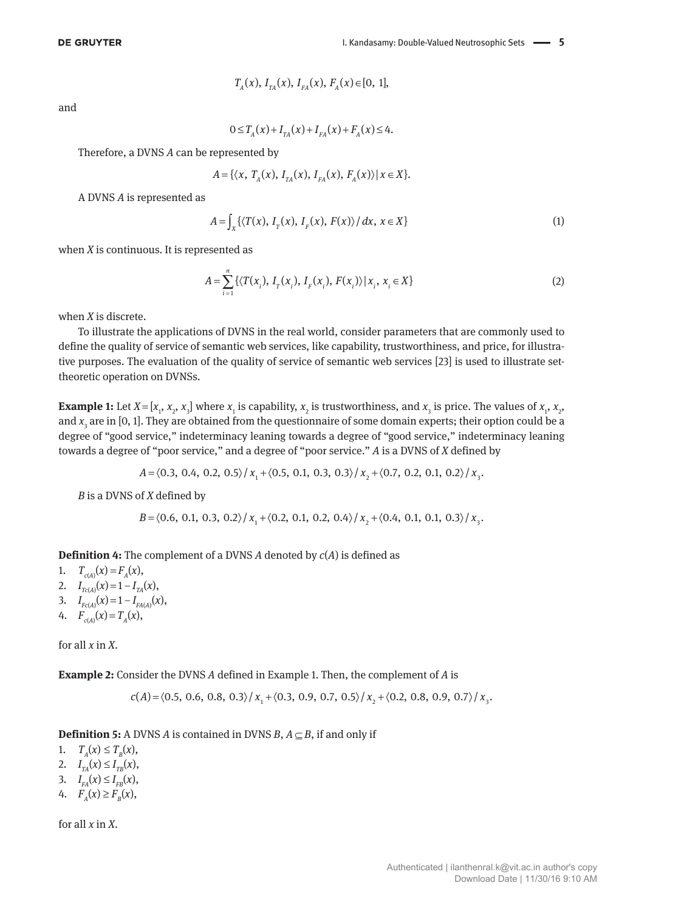$$
T_A(x), I_{TA}(x), I_{FA}(x), F_A(x) \in [0, 1],
$$

and

$$
0 \le T_A(x) + I_{TA}(x) + I_{FA}(x) + F_A(x) \le 4.
$$

Therefore, a DVNS *A* can be represented by

$$
A = \{ \langle x, T_A(x), I_{TA}(x), I_{FA}(x), F_A(x) \rangle | x \in X \}.
$$

A DVNS *A* is represented as

$$
A = \int_{X} \left\{ \langle T(x), I_{r}(x), I_{r}(x), F(x) \rangle / dx, x \in X \right\}
$$
 (1)

when *X* is continuous. It is represented as

$$
A = \sum_{i=1}^{n} \{ \langle T(x_i), I_T(x_i), I_F(x_i), F(x_i) \rangle | x_i, x_i \in X \}
$$
 (2)

when *X* is discrete.

To illustrate the applications of DVNS in the real world, consider parameters that are commonly used to define the quality of service of semantic web services, like capability, trustworthiness, and price, for illustrative purposes. The evaluation of the quality of service of semantic web services [23] is used to illustrate settheoretic operation on DVNSs.

**Example 1:** Let  $X = [x_1, x_2, x_3]$  where  $x_1$  is capability,  $x_2$  is trustworthiness, and  $x_3$  is price. The values of  $x_1, x_2, x_3$ and *x*<sub>3</sub> are in [0, 1]. They are obtained from the questionnaire of some domain experts; their option could be a degree of "good service," indeterminacy leaning towards a degree of "good service," indeterminacy leaning towards a degree of "poor service," and a degree of "poor service." *A* is a DVNS of *X* defined by

$$
A = \langle 0.3, 0.4, 0.2, 0.5 \rangle / x_1 + \langle 0.5, 0.1, 0.3, 0.3 \rangle / x_2 + \langle 0.7, 0.2, 0.1, 0.2 \rangle / x_3
$$

*B* is a DVNS of *X* defined by

$$
B = \langle 0.6, 0.1, 0.3, 0.2 \rangle / x_1 + \langle 0.2, 0.1, 0.2, 0.4 \rangle / x_2 + \langle 0.4, 0.1, 0.1, 0.3 \rangle / x_3.
$$

**Definition 4:** The complement of a DVNS *A* denoted by *c*(*A*) is defined as

1.  $T_{c(A)}(x) = F_A(x)$ ,

- 2.  $I_{Tc(A)}(x) = 1 I_{TA}(x),$
- 3.  $I_{Fc(A)}(x) = 1 I_{FA(A)}(x)$ ,
- 4.  $F_{c(A)}(x) = T_A(x)$ ,

for all *x* in *X*.

**Example 2:** Consider the DVNS *A* defined in Example 1. Then, the complement of *A* is

$$
c(A) = \langle 0.5, 0.6, 0.8, 0.3 \rangle / x_1 + \langle 0.3, 0.9, 0.7, 0.5 \rangle / x_2 + \langle 0.2, 0.8, 0.9, 0.7 \rangle / x_3.
$$

**Definition 5:** A DVNS *A* is contained in DVNS *B*,  $A \subseteq B$ , if and only if

1.  $T_{A}(x) \leq T_{B}(x),$ 2.  $I_{TA}(x) \leq I_{TB}(x)$ ,

- 3.  $I_{FA}(x) \leq I_{FB}(x)$ ,
- 4.  $F_{A}(x) \geq F_{B}(x),$

for all *x* in *X*.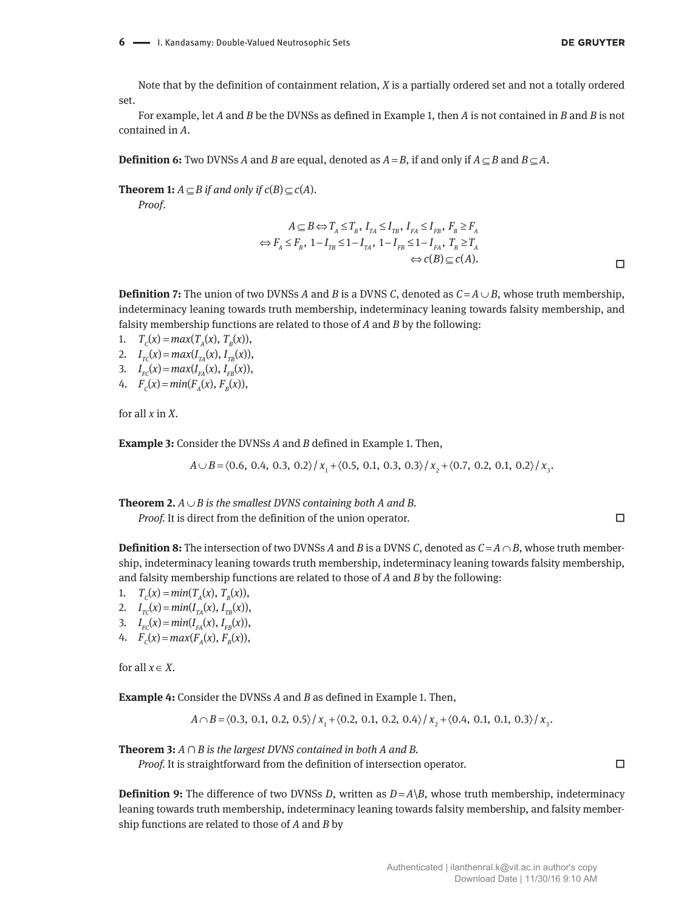Note that by the definition of containment relation, *X* is a partially ordered set and not a totally ordered set.

For example, let *A* and *B* be the DVNSs as defined in Example 1, then *A* is not contained in *B* and *B* is not contained in *A*.

**Definition 6:** Two DVNSs *A* and *B* are equal, denoted as  $A = B$ , if and only if  $A \subseteq B$  and  $B \subseteq A$ .

**Theorem 1:**  $A \subset B$  if and only if  $c(B) \subset c(A)$ .

*Proof*.

$$
A \subseteq B \Leftrightarrow T_A \le T_B, I_{TA} \le I_{TB}, I_{FA} \le I_{FB}, F_B \ge F_A
$$
  

$$
\Leftrightarrow F_A \le F_B, 1 - I_{TB} \le 1 - I_{TA}, 1 - I_{FB} \le 1 - I_{FA}, T_B \ge T_A
$$
  

$$
\Leftrightarrow c(B) \subseteq c(A).
$$

**Definition 7:** The union of two DVNSs *A* and *B* is a DVNS *C*, denoted as  $C = A \cup B$ , whose truth membership, indeterminacy leaning towards truth membership, indeterminacy leaning towards falsity membership, and falsity membership functions are related to those of *A* and *B* by the following:

1.  $T_c(x) = max(T_a(x), T_a(x)),$ 

- 2.  $I_{TC}(x) = max(I_{TA}(x), I_{TB}(x)),$
- 3.  $I_{FC}(x) = max(I_{FA}(x), I_{FB}(x)),$
- 4.  $F_c(x) = min(F_a(x), F_a(x))$ ,

for all *x* in *X*.

**Example 3:** Consider the DVNSs *A* and *B* defined in Example 1. Then,

 $A \cup B = \langle 0.6, 0.4, 0.3, 0.2 \rangle / x_1 + \langle 0.5, 0.1, 0.3, 0.3 \rangle / x_2 + \langle 0.7, 0.2, 0.1, 0.2 \rangle / x_2$ 

**Theorem 2.**  $A \cup B$  is the smallest DVNS containing both A and B.

*Proof.* It is direct from the definition of the union operator. □

**Definition 8:** The intersection of two DVNSs *A* and *B* is a DVNS *C*, denoted as  $C = A \cap B$ , whose truth membership, indeterminacy leaning towards truth membership, indeterminacy leaning towards falsity membership, and falsity membership functions are related to those of *A* and *B* by the following:

1. 
$$
T_c(x) = min(T_A(x), T_B(x)),
$$

2.  $I_{TC}(x) = min(I_{TA}(x), I_{TB}(x)),$ 

- 3.  $I_{FC}(x) = min(I_{FA}(x), I_{FB}(x)),$
- 4.  $F_c(x) = max(F_a(x), F_b(x)),$

for all  $x \in X$ .

**Example 4:** Consider the DVNSs *A* and *B* as defined in Example 1. Then,

 $A \cap B = \langle 0.3, 0.1, 0.2, 0.5 \rangle / x_1 + \langle 0.2, 0.1, 0.2, 0.4 \rangle / x_2 + \langle 0.4, 0.1, 0.1, 0.3 \rangle / x_3.$ 

**Theorem 3:** *A* ∩ *B is the largest DVNS contained in both A and B.*

*Proof.* It is straightforward from the definition of intersection operator. □

**Definition 9:** The difference of two DVNSs *D*, written as  $D = A \setminus B$ , whose truth membership, indeterminacy leaning towards truth membership, indeterminacy leaning towards falsity membership, and falsity membership functions are related to those of *A* and *B* by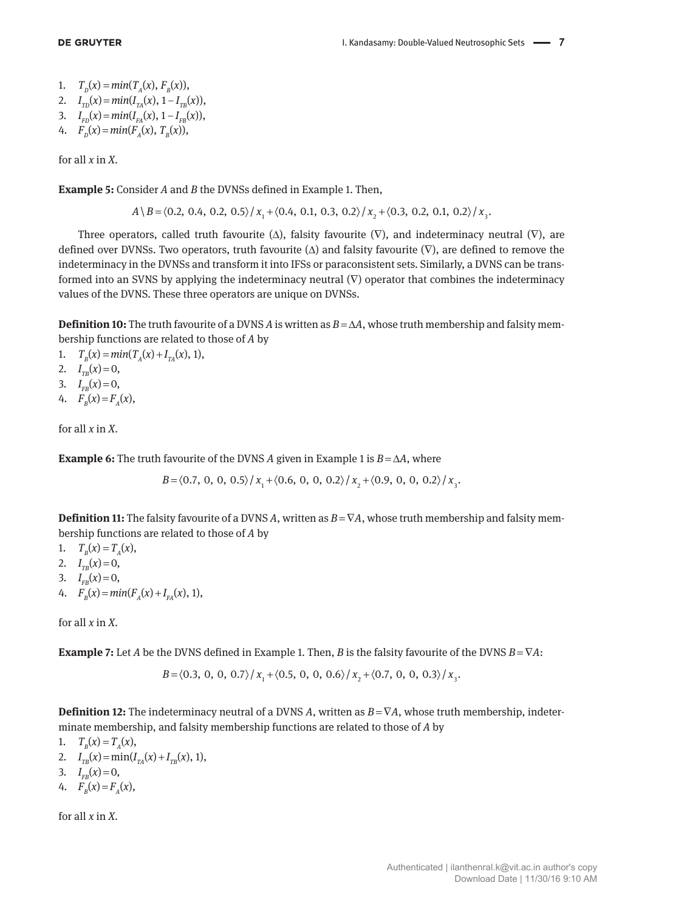1.  $T_p(x) = min(T_A(x), F_B(x)),$ 

2. 
$$
I_{TD}(x) = min(I_{TA}(x), 1 - I_{TB}(x)),
$$

3. 
$$
I_{FD}(x) = min(I_{FA}(x), 1 - I_{FB}(x)),
$$

4. 
$$
F_p(x) = min(F_A(x), T_B(x)),
$$

for all *x* in *X*.

**Example 5:** Consider *A* and *B* the DVNSs defined in Example 1. Then,

 $A \ B = \langle 0.2, 0.4, 0.2, 0.5 \rangle / x_1 + \langle 0.4, 0.1, 0.3, 0.2 \rangle / x_2 + \langle 0.3, 0.2, 0.1, 0.2 \rangle / x_1.$ 

Three operators, called truth favourite  $(\Delta)$ , falsity favourite  $(\nabla)$ , and indeterminacy neutral  $(\nabla)$ , are defined over DVNSs. Two operators, truth favourite  $(\Delta)$  and falsity favourite  $(\nabla)$ , are defined to remove the indeterminacy in the DVNSs and transform it into IFSs or paraconsistent sets. Similarly, a DVNS can be transformed into an SVNS by applying the indeterminacy neutral  $(\nabla)$  operator that combines the indeterminacy values of the DVNS. These three operators are unique on DVNSs.

**Definition 10:** The truth favourite of a DVNS *A* is written as  $B = \Delta A$ , whose truth membership and falsity membership functions are related to those of *A* by

1.  $T_B(x) = min(T_A(x) + I_{TA}(x), 1),$ 

2.  $I_{TB}(x) = 0$ ,

- 3.  $I_{FB}(x) = 0$ ,
- 4.  $F_p(x) = F_p(x)$ ,

for all *x* in *X*.

**Example 6:** The truth favourite of the DVNS *A* given in Example 1 is  $B = \Delta A$ , where

 $B = \langle 0.7, 0, 0, 0.5 \rangle / x_1 + \langle 0.6, 0, 0, 0.2 \rangle / x_2 + \langle 0.9, 0, 0, 0.2 \rangle / x_3$ .

**Definition 11:** The falsity favourite of a DVNS *A*, written as  $B = \nabla A$ , whose truth membership and falsity membership functions are related to those of *A* by

1.  $T_p(x) = T_a(x)$ ,

- 2.  $I_{TB}(x) = 0$ ,
- 3.  $I_{FB}(x) = 0$ ,
- 4.  $F_B(x) = min(F_A(x) + I_{FA}(x), 1),$

for all *x* in *X*.

**Example 7:** Let *A* be the DVNS defined in Example 1. Then, *B* is the falsity favourite of the DVNS  $B = \nabla A$ :

 $B = \langle 0.3, 0, 0, 0.7 \rangle / x + \langle 0.5, 0, 0, 0.6 \rangle / x + \langle 0.7, 0, 0, 0.3 \rangle / x$ 

**Definition 12:** The indeterminacy neutral of a DVNS *A*, written as *B* = ∇*A*, whose truth membership, indeterminate membership, and falsity membership functions are related to those of *A* by

- 1.  $T<sub>B</sub>(x) = T<sub>A</sub>(x)$ ,
- 2.  $I_{TB}(x) = \min(I_{TA}(x) + I_{TB}(x), 1),$
- 3.  $I_{FB}(x) = 0$ ,
- 4.  $F_p(x) = F_p(x)$ ,

for all *x* in *X*.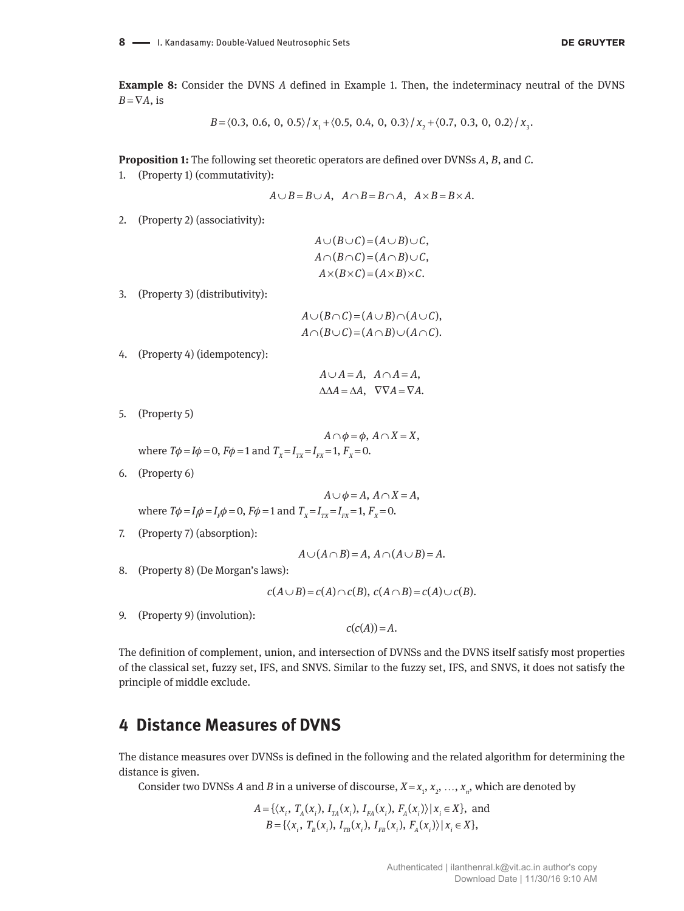**Example 8:** Consider the DVNS *A* defined in Example 1. Then, the indeterminacy neutral of the DVNS  $B = \nabla A$ , is

$$
B = \langle 0.3, 0.6, 0, 0.5 \rangle / x_1 + \langle 0.5, 0.4, 0, 0.3 \rangle / x_2 + \langle 0.7, 0.3, 0, 0.2 \rangle / x_3.
$$

**Proposition 1:** The following set theoretic operators are defined over DVNSs *A*, *B*, and *C*.

1. (Property 1) (commutativity):

$$
A \cup B = B \cup A, \quad A \cap B = B \cap A, \quad A \times B = B \times A.
$$

2. (Property 2) (associativity):

$$
A \cup (B \cup C) = (A \cup B) \cup C,
$$
  

$$
A \cap (B \cap C) = (A \cap B) \cup C,
$$
  

$$
A \times (B \times C) = (A \times B) \times C.
$$

3. (Property 3) (distributivity):

$$
A \cup (B \cap C) = (A \cup B) \cap (A \cup C),
$$
  

$$
A \cap (B \cup C) = (A \cap B) \cup (A \cap C).
$$

4. (Property 4) (idempotency):

 $A \cup A = A$ ,  $A \cap A = A$ ,  $\triangle \triangle A = \triangle A$ ,  $\nabla \nabla A = \nabla A$ .

5. (Property 5)

$$
A \cap \phi = \phi, A \cap X = X,
$$
  
where  $T\phi = I\phi = 0$ ,  $F\phi = 1$  and  $T_x = I_{rx} = I_{rx} = 1$ ,  $F_x = 0$ .

6. (Property 6)

$$
A \cup \phi = A, A \cap X = A,
$$
  
where  $T\phi = I_1\phi = I_1\phi = 0$ ,  $F\phi = 1$  and  $T_x = I_{rx} = I_{rx} = 1$ ,  $F_x = 0$ .

7. (Property 7) (absorption):

$$
A \cup (A \cap B) = A, A \cap (A \cup B) = A.
$$

8. (Property 8) (De Morgan's laws):

$$
c(A \cup B) = c(A) \cap c(B), \ c(A \cap B) = c(A) \cup c(B).
$$

9. (Property 9) (involution):

 $c(c(A)) = A$ .

The definition of complement, union, and intersection of DVNSs and the DVNS itself satisfy most properties of the classical set, fuzzy set, IFS, and SNVS. Similar to the fuzzy set, IFS, and SNVS, it does not satisfy the principle of middle exclude.

## **4 Distance Measures of DVNS**

The distance measures over DVNSs is defined in the following and the related algorithm for determining the distance is given.

Consider two DVNSs *A* and *B* in a universe of discourse,  $X = x_1, x_2, ..., x_n$ , which are denoted by

$$
A = \{ \langle x_i, T_A(x_i), I_{TA}(x_i), I_{FA}(x_i), F_A(x_i) \rangle | x_i \in X \}, \text{ and}
$$
  
\n
$$
B = \{ \langle x_i, T_B(x_i), I_{TB}(x_i), I_{FB}(x_i), F_A(x_i) \rangle | x_i \in X \},
$$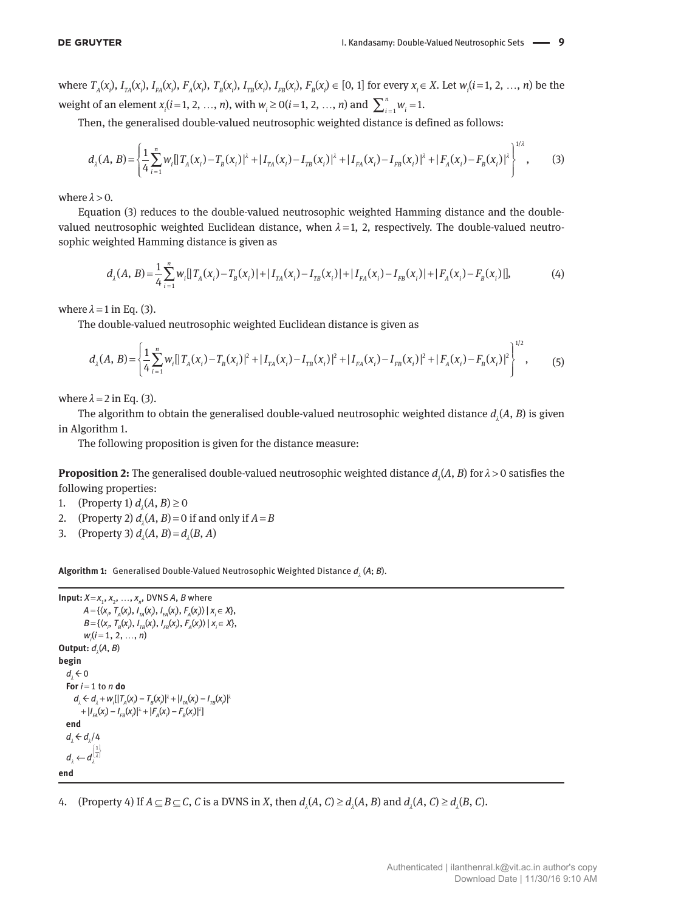where  $T_A(x_i)$ ,  $I_{TA}(x_i)$ ,  $I_{FA}(x_i)$ ,  $F_A(x_i)$ ,  $T_B(x_i)$ ,  $I_{TB}(x_i)$ ,  $I_{FB}(x_i)$ ,  $F_B(x_i) \in [0, 1]$  for every  $x_i \in X$ . Let  $w_i(i=1, 2, ..., n)$  be the weight of an element  $x_i$  ( $i = 1, 2, ..., n$ ), with  $w_i \ge 0$  ( $i = 1, 2, ..., n$ ) and  $\sum_{i=1}^{n} w_i = 1$ .

Then, the generalised double-valued neutrosophic weighted distance is defined as follows:

$$
d_{\lambda}(A, B) = \left\{ \frac{1}{4} \sum_{i=1}^{n} w_{i} \left[ |T_{A}(x_{i}) - T_{B}(x_{i})|^{2} + |I_{TA}(x_{i}) - I_{TB}(x_{i})|^{2} + |I_{FA}(x_{i}) - I_{FB}(x_{i})|^{2} + |F_{A}(x_{i}) - F_{B}(x_{i})|^{2} \right]^{1/2},
$$
(3)

where  $\lambda > 0$ .

Equation (3) reduces to the double-valued neutrosophic weighted Hamming distance and the doublevalued neutrosophic weighted Euclidean distance, when  $\lambda = 1$ , 2, respectively. The double-valued neutrosophic weighted Hamming distance is given as

$$
d_{\lambda}(A, B) = \frac{1}{4} \sum_{i=1}^{n} w_{i} [ |T_{A}(x_{i}) - T_{B}(x_{i})| + |I_{TA}(x_{i}) - I_{TB}(x_{i})| + |I_{FA}(x_{i}) - I_{FB}(x_{i})| + |F_{A}(x_{i}) - F_{B}(x_{i})|],
$$
(4)

where  $\lambda = 1$  in Eq. (3).

The double-valued neutrosophic weighted Euclidean distance is given as

$$
d_{\lambda}(A, B) = \left\{ \frac{1}{4} \sum_{i=1}^{n} w_{i} [|T_{A}(x_{i}) - T_{B}(x_{i})|^{2} + |I_{TA}(x_{i}) - I_{TB}(x_{i})|^{2} + |I_{FA}(x_{i}) - I_{FB}(x_{i})|^{2} + |F_{A}(x_{i}) - F_{B}(x_{i})|^{2} \right\}^{1/2},
$$
\n(5)

where  $\lambda = 2$  in Eq. (3).

The algorithm to obtain the generalised double-valued neutrosophic weighted distance  $d_{_{\lambda}}\!(A,B)$  is given in Algorithm 1.

The following proposition is given for the distance measure:

**Proposition 2:** The generalised double-valued neutrosophic weighted distance  $d_{\lambda}(A, B)$  for  $\lambda > 0$  satisfies the following properties:

- 1. (Property 1)  $d_{\lambda}(A, B) \ge 0$
- 2. (Property 2)  $d_{\lambda}(A, B) = 0$  if and only if  $A = B$
- 3. (Property 3)  $d_{\lambda}(A, B) = d_{\lambda}(B, A)$

**Algorithm 1:** Generalised Double-Valued Neutrosophic Weighted Distance  $d_{_{\lambda}}($ A; *B*).

```
Input: X = x_1, x_2, ..., x_n, DVNS A, B where
               A = \{ (x_i, T_A(x_i), I_{TA}(x_i), I_{FA}(x_i), F_A(x_i) \mid x_i \in X \},\B = {\langle X_i, T_B(X_i), I_{TB}(X_i), I_{FB}(X_i), F_A(X_i) \rangle | X_i \in X },
               wi
(i = 1, 2, …, n)
Output: d_{\lambda}(A, B)begin
     d_{\lambda} \leftarrow 0
   For i = 1 to n do
d_{\lambda} \leftarrow d_{\lambda} + w_{i} [|T_{A}(x_{i}) - T_{B}(x_{i})|^{\lambda} + |I_{TA}(x_{i}) - I_{TB}(x_{i})|^{\lambda}]+ |I_{FA}(x_i) - I_{FB}(x_i)|^{\lambda} + |F_A(x_i) - F_B(x_i)|^{\lambda}end
     d_{\lambda} \leftarrow d_{\lambda}/4a_{\lambda} \leftarrow d_{\lambda}^{\mathfrak{U}\lambda}d_1 \leftarrow d_1^{\left|\frac{1}{\lambda}\right|}end
```
4. (Property 4) If  $A \subseteq B \subseteq C$ , *C* is a DVNS in *X*, then  $d_{\lambda}(A, C) \geq d_{\lambda}(A, B)$  and  $d_{\lambda}(A, C) \geq d_{\lambda}(B, C)$ .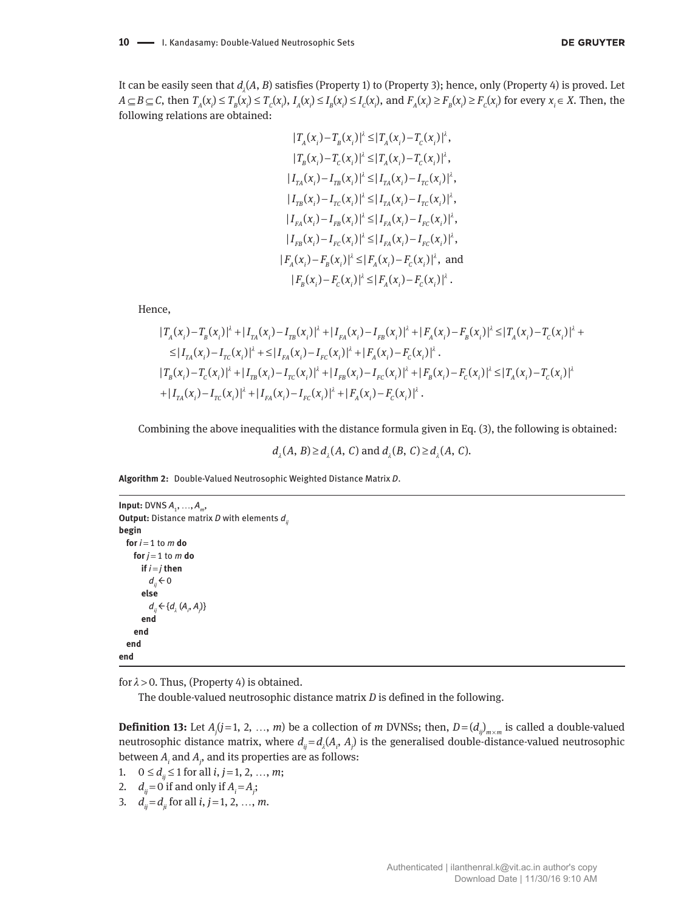$$
|T_A(x_i) - T_B(x_i)|^{\lambda} \le |T_A(x_i) - T_C(x_i)|^{\lambda},
$$
  
\n
$$
|T_B(x_i) - T_C(x_i)|^{\lambda} \le |T_A(x_i) - T_C(x_i)|^{\lambda},
$$
  
\n
$$
|I_{TA}(x_i) - I_{TB}(x_i)|^{\lambda} \le |I_{TA}(x_i) - I_{TC}(x_i)|^{\lambda},
$$
  
\n
$$
|I_{TB}(x_i) - I_{TC}(x_i)|^{\lambda} \le |I_{TA}(x_i) - I_{TC}(x_i)|^{\lambda},
$$
  
\n
$$
|I_{FA}(x_i) - I_{FB}(x_i)|^{\lambda} \le |I_{FA}(x_i) - I_{FC}(x_i)|^{\lambda},
$$
  
\n
$$
|I_{FB}(x_i) - I_{FC}(x_i)|^{\lambda} \le |I_{FA}(x_i) - I_{FC}(x_i)|^{\lambda},
$$
  
\n
$$
|F_A(x_i) - F_B(x_i)|^{\lambda} \le |F_A(x_i) - F_C(x_i)|^{\lambda},
$$
and  
\n
$$
|F_B(x_i) - F_C(x_i)|^{\lambda} \le |F_A(x_i) - F_C(x_i)|^{\lambda}.
$$

Hence,

$$
|T_A(x_i) - T_B(x_i)|^{\lambda} + |I_{TA}(x_i) - I_{TB}(x_i)|^{\lambda} + |I_{FA}(x_i) - I_{FB}(x_i)|^{\lambda} + |F_A(x_i) - F_B(x_i)|^{\lambda} \le |T_A(x_i) - T_C(x_i)|^{\lambda} +
$$
  
\n
$$
\le |I_{TA}(x_i) - I_{TC}(x_i)|^{\lambda} + \le |I_{FA}(x_i) - I_{FC}(x_i)|^{\lambda} + |F_A(x_i) - F_C(x_i)|^{\lambda}.
$$
  
\n
$$
|T_B(x_i) - T_C(x_i)|^{\lambda} + |I_{TB}(x_i) - I_{TC}(x_i)|^{\lambda} + |I_{FB}(x_i) - I_{FC}(x_i)|^{\lambda} + |F_B(x_i) - F_C(x_i)|^{\lambda} \le |T_A(x_i) - T_C(x_i)|^{\lambda} + |I_{TA}(x_i) - I_{TC}(x_i)|^{\lambda} + |I_{TA}(x_i) - I_{TC}(x_i)|^{\lambda} + |I_{TA}(x_i) - F_C(x_i)|^{\lambda}.
$$

Combining the above inequalities with the distance formula given in Eq. (3), the following is obtained:

 $d_1(A, B) \geq d_1(A, C)$  and  $d_1(B, C) \geq d_1(A, C)$ .

**Algorithm 2:** Double-Valued Neutrosophic Weighted Distance Matrix *D*.

```
Input: DVNS A_1, ..., A_m,
Output: Distance matrix D with elements d_ibegin
  for i = 1 to m do
    for j = 1 to m do
       if i = j then
         d_n \leftarrow 0   else
d_{ij} \leftarrow \{ d_{\lambda} (A_i, A_j) \}   end
       end
  end
end
```
for  $\lambda > 0$ . Thus, (Property 4) is obtained.

The double-valued neutrosophic distance matrix *D* is defined in the following.

**Definition 13:** Let  $A_j$ ( $j$ =1, 2, ..., *m*) be a collection of *m* DVNSs; then,  $D = (d_{ij})_{m \times m}$  is called a double-valued neutrosophic distance matrix, where  $d_{ij} = d_{\lambda}(A_i, A_j)$  is the generalised double-distance-valued neutrosophic between  $A_i$  and  $A_j$ , and its properties are as follows:

```
1. 0 \le d_{ii} \le 1 for all i, j = 1, 2, …, m;
```
- 2.  $d_{ij} = 0$  if and only if  $A_i = A_j$ ;
- 3.  $d_{ii} = d_{ii}$  for all *i*, *j* = 1, 2, …, *m*.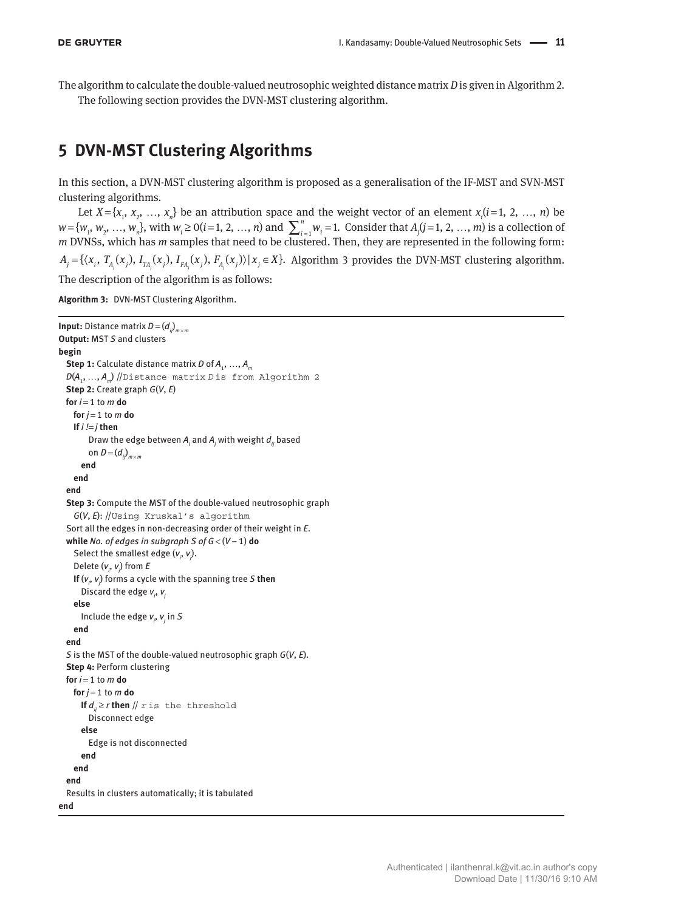The algorithm to calculate the double-valued neutrosophic weighted distance matrix *D* is given in Algorithm 2. The following section provides the DVN-MST clustering algorithm.

# **5 DVN-MST Clustering Algorithms**

In this section, a DVN-MST clustering algorithm is proposed as a generalisation of the IF-MST and SVN-MST clustering algorithms.

Let  $X = \{x_1, x_2, ..., x_n\}$  be an attribution space and the weight vector of an element  $x_i$  ( $i = 1, 2, ..., n$ ) be  $w = \{w_1, w_2, ..., w_n\}$ , with  $w_i \ge 0$  (*i* = 1, 2, ..., *n*) and  $\sum_{i=1}^{n} w_i = 1$ . Consider that  $A_j$  (*j* = 1, 2, ..., *m*) is a collection of *m* DVNSs, which has *m* samples that need to be clustered. Then, they are represented in the following form:  $A_i = \{ \langle x_i, T_A(x_i), I_{TA}(x_i), I_{FA}(x_i), F_A(x_i) \rangle | x_i \in X \}.$  Algorithm 3 provides the DVN-MST clustering algorithm. The description of the algorithm is as follows:

**Algorithm 3:** DVN-MST Clustering Algorithm.

```
Input: Distance matrix D = (dij)
m × m
Output: MST S and clusters
begin
 Step 1: Calculate distance matrix D of A<sub>1</sub>, ..., A<sub>m</sub>
 D(A<sub>1</sub>, ..., A<sub>n</sub>) //Distance matrix D is from Algorithm 2
 Step 2: Create graph G(V, E)
 for i = 1 to m do
   for j = 1 to m do
     If i != j then
Draw the edge between \boldsymbol{A}_i and \boldsymbol{A}_j with weight \boldsymbol{d}_{ij} based
on D = (d_{ij})_{m \times m}   end
      end
  end
  Step 3: Compute the MST of the double-valued neutrosophic graph
      G(V, E): //Using Kruskal's algorithm
   Sort all the edges in non-decreasing order of their weight in E.
  while No. of edges in subgraph S of G < (V − 1) do
Select the smallest edge (v_{i},v_{j}).
  Delete (vi
, vj
) from E
If (v_j, v_j) forms a cycle with the spanning tree S then
   Discard the edge vi
, vj
      else
Include the edge v_{i}, v_{j} in S  end
  end
  S is the MST of the double-valued neutrosophic graph G(V, E).
  Step 4: Perform clustering
  for i = 1 to m do
   for j = 1 to m do
     If d_n \ge r then \# r is the threshold
            Disconnect edge
         else
            Edge is not disconnected
         end
      end
  end
   Results in clusters automatically; it is tabulated
end
```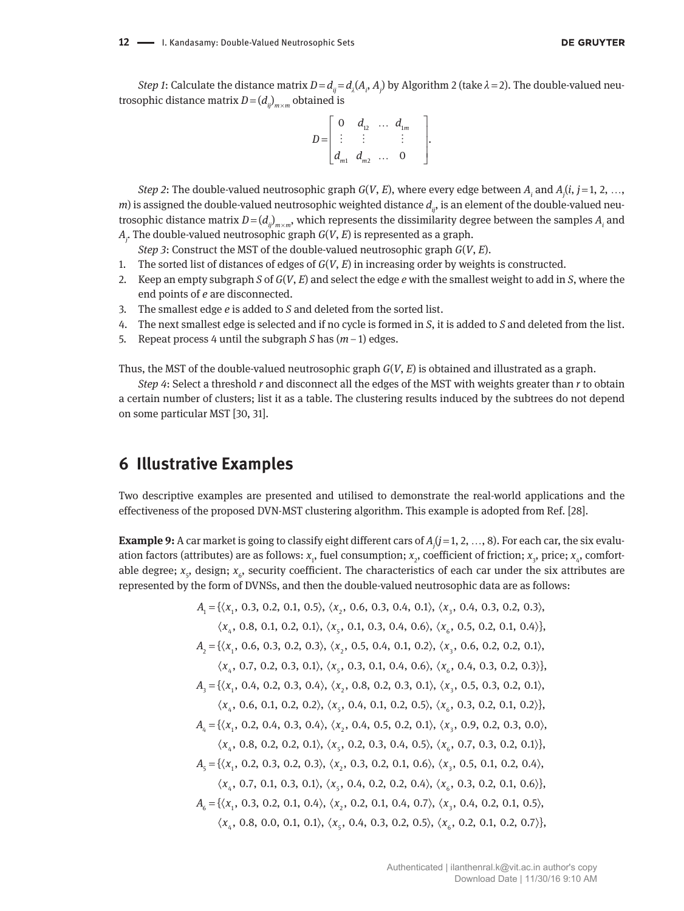*Step 1*: Calculate the distance matrix  $D = d_{ij} = d_{\lambda}(A_i, A_j)$  by Algorithm 2 (take  $\lambda = 2$ ). The double-valued neutrosophic distance matrix  $D = (d_{ij})_{m \times m}$  obtained is

$$
D = \begin{bmatrix} 0 & d_{12} & \cdots & d_{1m} \\ \vdots & \vdots & & \vdots \\ d_{m1} & d_{m2} & \cdots & 0 \end{bmatrix}.
$$

*Step 2*: The double-valued neutrosophic graph *G*(*V*, *E*), where every edge between *Ai* and *Aj* (*i*, *j* = 1, 2, …, *m*) is assigned the double-valued neutrosophic weighted distance  $d_{ij}$ , is an element of the double-valued neutrosophic distance matrix  $D$  = ( $d_{ij}$ )<sub> $m \times m$ </sub>, which represents the dissimilarity degree between the samples  $A_i$  and *Aj* . The double-valued neutrosophic graph *G*(*V*, *E*) is represented as a graph.

*Step 3*: Construct the MST of the double-valued neutrosophic graph *G*(*V*, *E*).

- 1. The sorted list of distances of edges of *G*(*V*, *E*) in increasing order by weights is constructed.
- 2. Keep an empty subgraph *S* of *G*(*V*, *E*) and select the edge *e* with the smallest weight to add in *S*, where the end points of *e* are disconnected.
- 3. The smallest edge *e* is added to *S* and deleted from the sorted list.
- 4. The next smallest edge is selected and if no cycle is formed in *S*, it is added to *S* and deleted from the list.
- 5. Repeat process 4 until the subgraph *S* has (*m* − 1) edges.

Thus, the MST of the double-valued neutrosophic graph *G*(*V*, *E*) is obtained and illustrated as a graph.

*Step 4*: Select a threshold *r* and disconnect all the edges of the MST with weights greater than *r* to obtain a certain number of clusters; list it as a table. The clustering results induced by the subtrees do not depend on some particular MST [30, 31].

## **6 Illustrative Examples**

Two descriptive examples are presented and utilised to demonstrate the real-world applications and the effectiveness of the proposed DVN-MST clustering algorithm. This example is adopted from Ref. [28].

**Example 9:** A car market is going to classify eight different cars of  $A_j$ ( $j$  = 1, 2, …, 8). For each car, the six evaluation factors (attributes) are as follows: *x*<sub>1</sub>, fuel consumption; *x<sub>2</sub>,* coefficient of friction; *x<sub>3</sub>, price; x<sub>4</sub>, comfort*able degree; *x<sub>5</sub>,* design; *x<sub>6</sub>,* security coefficient. The characteristics of each car under the six attributes are represented by the form of DVNSs, and then the double-valued neutrosophic data are as follows:

$$
A_1 = \{ \langle x_1, 0.3, 0.2, 0.1, 0.5 \rangle, \langle x_2, 0.6, 0.3, 0.4, 0.1 \rangle, \langle x_3, 0.4, 0.3, 0.2, 0.3 \rangle, \n\langle x_4, 0.8, 0.1, 0.2, 0.1 \rangle, \langle x_5, 0.1, 0.3, 0.4, 0.6 \rangle, \langle x_6, 0.5, 0.2, 0.1, 0.4 \rangle \}, \nA_2 = \{ \langle x_1, 0.6, 0.3, 0.2, 0.3 \rangle, \langle x_2, 0.5, 0.4, 0.1, 0.2 \rangle, \langle x_3, 0.6, 0.2, 0.2, 0.1 \rangle, \n\langle x_4, 0.7, 0.2, 0.3, 0.1 \rangle, \langle x_5, 0.3, 0.1, 0.4, 0.6 \rangle, \langle x_6, 0.4, 0.3, 0.2, 0.3 \rangle \}, \nA_3 = \{ \langle x_1, 0.4, 0.2, 0.3, 0.4 \rangle, \langle x_2, 0.8, 0.2, 0.3, 0.1 \rangle, \langle x_3, 0.5, 0.3, 0.2, 0.1 \rangle, \n\langle x_4, 0.6, 0.1, 0.2, 0.2 \rangle, \langle x_5, 0.4, 0.1, 0.2, 0.5 \rangle, \langle x_6, 0.3, 0.2, 0.1, 0.2 \rangle \}, \nA_4 = \{ \langle x_1, 0.2, 0.4, 0.3, 0.4 \rangle, \langle x_2, 0.4, 0.5, 0.2, 0.1 \rangle, \langle x_3, 0.9, 0.2, 0.3, 0.0 \rangle, \n\langle x_4, 0.8, 0.2, 0.2, 0.1 \rangle, \langle x_5, 0.2, 0.3, 0.4, 0.5 \rangle, \langle x_6, 0.7, 0.3, 0.2, 0.1 \rangle \}, \nA_5 = \{ \langle x_1, 0.2, 0.3, 0.2,
$$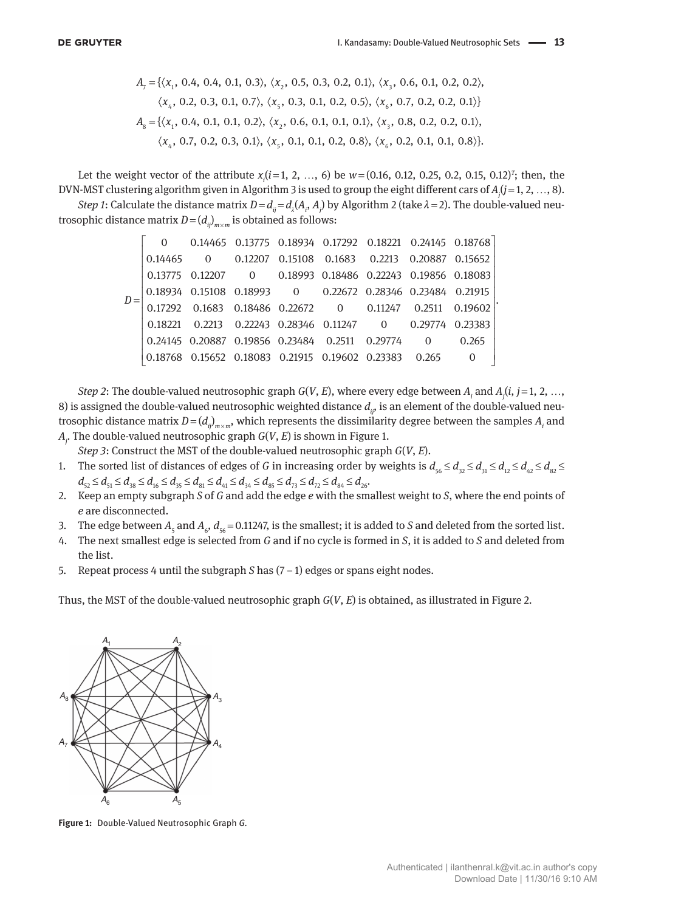$$
A_{7} = \{ \langle x_{1}, 0.4, 0.4, 0.1, 0.3 \rangle, \langle x_{2}, 0.5, 0.3, 0.2, 0.1 \rangle, \langle x_{3}, 0.6, 0.1, 0.2, 0.2 \rangle, \langle x_{4}, 0.2, 0.3, 0.1, 0.7 \rangle, \langle x_{5}, 0.3, 0.1, 0.2, 0.5 \rangle, \langle x_{6}, 0.7, 0.2, 0.2, 0.1 \rangle \}
$$
\n $A_{8} = \{ \langle x_{1}, 0.4, 0.1, 0.1, 0.2 \rangle, \langle x_{2}, 0.6, 0.1, 0.1, 0.1 \rangle, \langle x_{3}, 0.8, 0.2, 0.2, 0.1 \rangle, \langle x_{4}, 0.7, 0.2, 0.3, 0.1 \rangle, \langle x_{5}, 0.1, 0.1, 0.2, 0.8 \rangle, \langle x_{6}, 0.2, 0.1, 0.1, 0.8 \rangle \}$ 

Let the weight vector of the attribute  $x_i$  ( $i$  = 1, 2, …, 6) be  $w$  = (0.16, 0.12, 0.25, 0.2, 0.15, 0.12)<sup>T</sup>; then, the DVN-MST clustering algorithm given in Algorithm 3 is used to group the eight different cars of *Aj* (*j* = 1, 2, …, 8).

*Step 1*: Calculate the distance matrix  $D$  =  $d_{ij}$  =  $d_{\lambda}(A_i, A_j)$  by Algorithm 2 (take  $\lambda$  = 2). The double-valued neutrosophic distance matrix  $D = (d_{ij})_{m \times m}$  is obtained as follows:

|  |  | 0 0.14465 0.13775 0.18934 0.17292 0.18221 0.24145 0.18768               |  |  |
|--|--|-------------------------------------------------------------------------|--|--|
|  |  | 0.14465 0 0.12207 0.15108 0.1683 0.2213 0.20887 0.15652                 |  |  |
|  |  | 0.13775 0.12207 0 0.18993 0.18486 0.22243 0.19856 0.18083               |  |  |
|  |  | 0.18934  0.15108  0.18993  0  0.22672  0.28346  0.23484  0.21915        |  |  |
|  |  | $0.17292$ $0.1683$ $0.18486$ $0.22672$ $0$ $0.11247$ $0.2511$ $0.19602$ |  |  |
|  |  | 0.18221 0.2213 0.22243 0.28346 0.11247 0 0.29774 0.23383                |  |  |
|  |  | 0.24145 0.20887 0.19856 0.23484 0.2511 0.29774 0 0.265                  |  |  |
|  |  | 0.18768  0.15652  0.18083  0.21915  0.19602  0.23383  0.265             |  |  |

*Step 2*: The double-valued neutrosophic graph *G*(*V*, *E*), where every edge between *Ai* and *Aj* (*i*, *j* = 1, 2, …, 8) is assigned the double-valued neutrosophic weighted distance  $d_{ij}$ , is an element of the double-valued neutrosophic distance matrix  $D = (d_{ij})_{m \times m}$ , which represents the dissimilarity degree between the samples  $A_i$  and *Aj* . The double-valued neutrosophic graph *G*(*V*, *E*) is shown in Figure 1.

*Step 3*: Construct the MST of the double-valued neutrosophic graph *G*(*V*, *E*).

- 1. The sorted list of distances of edges of *G* in increasing order by weights is  $d_{\varsigma_6} \leq d_{\varsigma_2} \leq d_{\varsigma_1} \leq d_{\varsigma_2} \leq d_{\varsigma_3} \leq d_{\varsigma_4} \leq d_{\varsigma_5} \leq d_{\varsigma_6} \leq d_{\varsigma_7} \leq d_{\varsigma_8} \leq d_{\varsigma_7} \leq d_{\varsigma_8} \leq d_{\varsigma_$  $d_{52} \leq d_{51} \leq d_{38} \leq d_{16} \leq d_{35} \leq d_{81} \leq d_{41} \leq d_{34} \leq d_{85} \leq d_{73} \leq d_{72} \leq d_{84} \leq d_{26}$
- 2. Keep an empty subgraph *S* of *G* and add the edge *e* with the smallest weight to *S*, where the end points of *e* are disconnected.
- 3. The edge between  $A_{\varsigma}$  and  $A_{\varsigma}$ ,  $d_{\varsigma 6}$  = 0.11247, is the smallest; it is added to *S* and deleted from the sorted list.
- 4. The next smallest edge is selected from *G* and if no cycle is formed in *S*, it is added to *S* and deleted from the list.
- 5. Repeat process 4 until the subgraph *S* has (7 − 1) edges or spans eight nodes.

Thus, the MST of the double-valued neutrosophic graph *G*(*V*, *E*) is obtained, as illustrated in Figure 2.



**Figure 1:** Double-Valued Neutrosophic Graph *G.*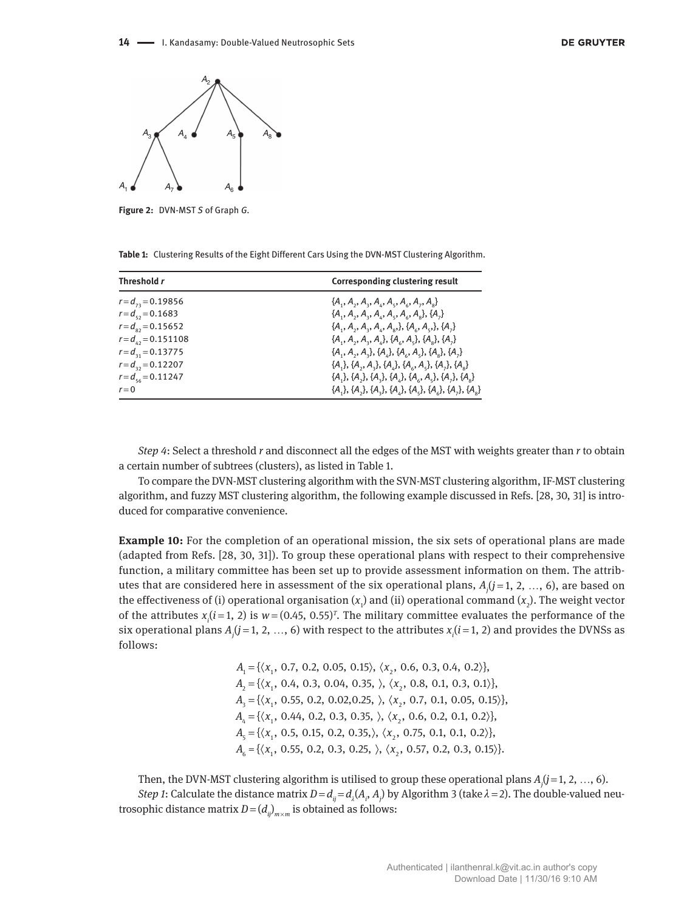

**Figure 2:** DVN-MST *S* of Graph *G.*

|  |  |  | Table 1: Clustering Results of the Eight Different Cars Using the DVN-MST Clustering Algorithm. |  |
|--|--|--|-------------------------------------------------------------------------------------------------|--|
|--|--|--|-------------------------------------------------------------------------------------------------|--|

| Threshold r              | <b>Corresponding clustering result</b>                                   |
|--------------------------|--------------------------------------------------------------------------|
| $r = d_{12} = 0.19856$   | ${A_1, A_2, A_3, A_4, A_5, A_6, A_7, A_8}$                               |
| $r = d_{\rm c} = 0.1683$ | ${A_1, A_2, A_3, A_4, A_5, A_6, A_7}, {A_1}$                             |
| $r = d_{02} = 0.15652$   | ${A_1, A_2, A_3, A_4, A_8, }, {A_6, A_5, }, {A_7}$                       |
| $r = d_{12} = 0.151108$  | ${A_1, A_2, A_3, A_4}, {A_6, A_5}, {A_8}, {A_7}$                         |
| $r = d_{21} = 0.13775$   | ${A_1, A_2, A_3}, {A_4}, {A_6}, A_5}, {A_8}, {A_7}$                      |
| $r = d_{32} = 0.12207$   | ${A_1}, {A_2}, {A_3}, {A_4}, {A_6}, {A_7}, {A_7}, {A_8}$                 |
| $r = d_{1} = 0.11247$    | ${A_1}, {A_2}, {A_3}, {A_4}, {A_6}, {A_5}, {A_7}, {A_8}$                 |
| $r = 0$                  | $\{A_1\}, \{A_2\}, \{A_3\}, \{A_4\}, \{A_5\}, \{A_6\}, \{A_7\}, \{A_8\}$ |

*Step 4*: Select a threshold *r* and disconnect all the edges of the MST with weights greater than *r* to obtain a certain number of subtrees (clusters), as listed in Table 1.

To compare the DVN-MST clustering algorithm with the SVN-MST clustering algorithm, IF-MST clustering algorithm, and fuzzy MST clustering algorithm, the following example discussed in Refs. [28, 30, 31] is introduced for comparative convenience.

**Example 10:** For the completion of an operational mission, the six sets of operational plans are made (adapted from Refs. [28, 30, 31]). To group these operational plans with respect to their comprehensive function, a military committee has been set up to provide assessment information on them. The attributes that are considered here in assessment of the six operational plans, *Aj* (*j* = 1, 2, …, 6), are based on the effectiveness of (i) operational organisation ( $x_1$ ) and (ii) operational command ( $x_2$ ). The weight vector of the attributes  $x_i$  ( $i$  = 1, 2) is  $w$  = (0.45, 0.55)<sup> $r$ </sup>. The military committee evaluates the performance of the six operational plans  $A_j (j = 1, 2, ..., 6)$  with respect to the attributes  $x_i (i = 1, 2)$  and provides the DVNSs as follows:

> $A_1 = {\langle} x_1, 0.7, 0.2, 0.05, 0.15 \rangle, \langle x_2, 0.6, 0.3, 0.4, 0.2 \rangle$  $A_2 = {\langle} \langle x_1, 0.4, 0.3, 0.04, 0.35, \rangle, \langle x_2, 0.8, 0.1, 0.3, 0.1 \rangle$  $A_3 = {\langle} x_1, 0.55, 0.2, 0.02, 0.25, \rangle, \langle x_2, 0.7, 0.1, 0.05, 0.15 \rangle$  $A_4 = {\langle} x_1, 0.44, 0.2, 0.3, 0.35, \rangle, \langle x_2, 0.6, 0.2, 0.1, 0.2 \rangle$  $A_{\scriptscriptstyle{5}} = {\langle} \langle x_{\scriptscriptstyle{1}}$ , 0.5, 0.15, 0.2, 0.35, $\rangle$ ,  $\langle x_{\scriptscriptstyle{2}}$ , 0.75, 0.1, 0.1, 0.2 $\rangle$ },  $A_6 = {\langle}x_1, 0.55, 0.2, 0.3, 0.25, \rangle, \langle x_2, 0.57, 0.2, 0.3, 0.15 \rangle$

Then, the DVN-MST clustering algorithm is utilised to group these operational plans *Aj* (*j* = 1, 2, …, 6). *Step 1*: Calculate the distance matrix  $D = d_{ij} = d_{\lambda}(A_i, A_j)$  by Algorithm 3 (take  $\lambda = 2$ ). The double-valued neutrosophic distance matrix  $D = (d_{ij})_{m \times m}$  is obtained as follows: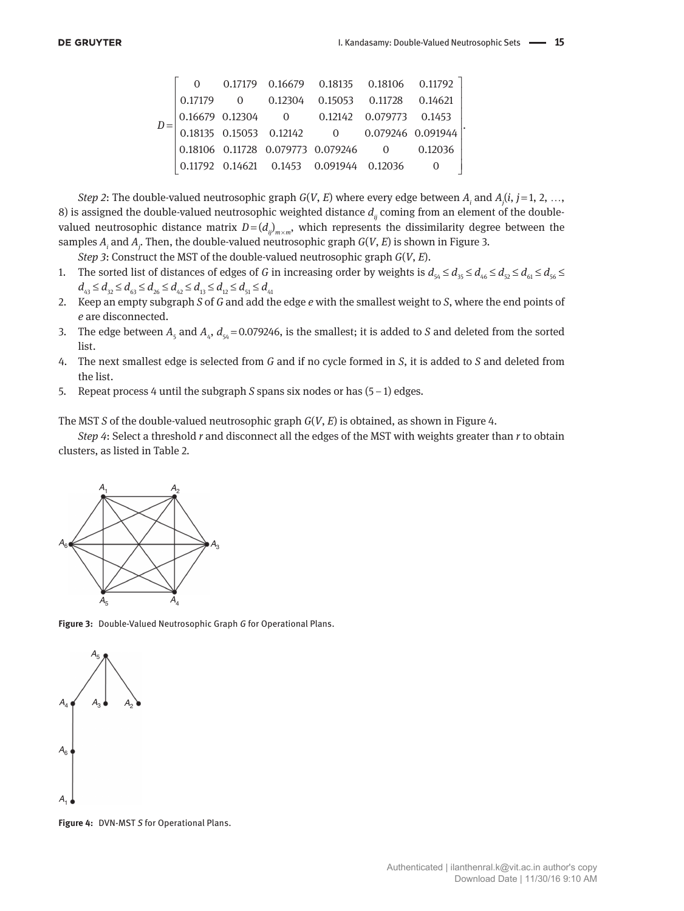|         |  | 0 0.17179 0.16679 0.18135 0.18106 0.11792                                                                                                                                                             |  |  |
|---------|--|-------------------------------------------------------------------------------------------------------------------------------------------------------------------------------------------------------|--|--|
| 0.17179 |  | $0$ 0.12304  0.15053  0.11728  0.14621                                                                                                                                                                |  |  |
|         |  | $\begin{bmatrix} 0.16679 & 0.12304 & 0 & 0.12142 & 0.079773 & 0.1453 \ 0.18135 & 0.15053 & 0.12142 & 0 & 0.079246 & 0.091944 \ 0.18106 & 0.11728 & 0.079773 & 0.079246 & 0 & 0.12036 \ \end{bmatrix}$ |  |  |
|         |  |                                                                                                                                                                                                       |  |  |
|         |  |                                                                                                                                                                                                       |  |  |
|         |  | $\begin{bmatrix} 1.11 & 0.11792 & 0.14621 & 0.1453 & 0.091944 & 0.12036 \end{bmatrix}$                                                                                                                |  |  |

*Step 2*: The double-valued neutrosophic graph *G*(*V*, *E*) where every edge between *Ai* and *Aj* (*i*, *j* = 1, 2, …, 8) is assigned the double-valued neutrosophic weighted distance  $d<sub>ii</sub>$  coming from an element of the doublevalued neutrosophic distance matrix  $D = (d_{ij})_{m \times m}$ , which represents the dissimilarity degree between the samples *Ai* and *Aj* . Then, the double-valued neutrosophic graph *G*(*V*, *E*) is shown in Figure 3.

*Step 3*: Construct the MST of the double-valued neutrosophic graph *G*(*V*, *E*).

- 1. The sorted list of distances of edges of *G* in increasing order by weights is  $d_{54} \leq d_{55} \leq d_{46} \leq d_{52} \leq d_{61} \leq d_{56} \leq d_{62}$  $d_{43} \leq d_{32} \leq d_{63} \leq d_{26} \leq d_{42} \leq d_{13} \leq d_{12} \leq d_{51} \leq d_{41}$
- 2. Keep an empty subgraph *S* of *G* and add the edge *e* with the smallest weight to *S*, where the end points of *e* are disconnected.
- 3. The edge between  $A_5$  and  $A_4$ ,  $d_{54} = 0.079246$ , is the smallest; it is added to *S* and deleted from the sorted list.
- 4. The next smallest edge is selected from *G* and if no cycle formed in *S*, it is added to *S* and deleted from the list.
- 5. Repeat process 4 until the subgraph *S* spans six nodes or has (5 − 1) edges.

The MST *S* of the double-valued neutrosophic graph *G*(*V*, *E*) is obtained, as shown in Figure 4.

*Step 4*: Select a threshold *r* and disconnect all the edges of the MST with weights greater than *r* to obtain clusters, as listed in Table 2.



**Figure 3:** Double-Valued Neutrosophic Graph *G* for Operational Plans.



**Figure 4:** DVN-MST *S* for Operational Plans.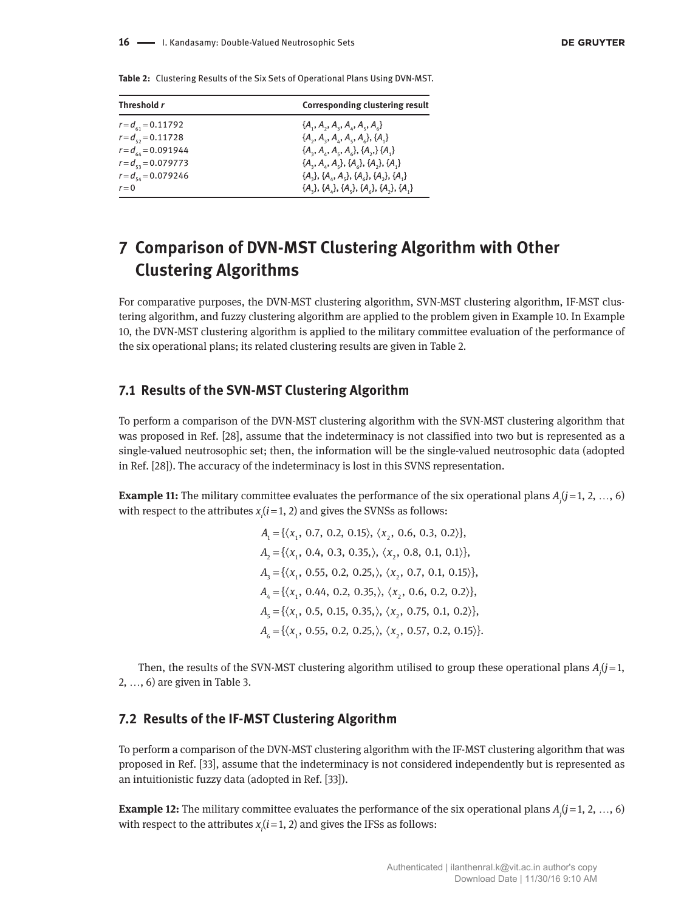| Threshold r               | <b>Corresponding clustering result</b>     |
|---------------------------|--------------------------------------------|
| $r = d_{c1} = 0.11792$    | ${A_1, A_2, A_3, A_4, A_5, A_6}$           |
| $r = d_{\rm c} = 0.11728$ | ${A_2, A_3, A_4, A_5, A_6}, {A_1}$         |
| $r = d_{64} = 0.091944$   | ${A_3, A_4, A_5, A_6}, {A_7, A_8}$         |
| $r = d_{cs} = 0.079773$   | ${A_3, A_4, A_5}, {A_6}, {A_7}, {A_1}$     |
| $r = d_{54} = 0.079246$   | ${A_3}, {A_4}, {A_5}, {A_6}, {A_7}, {A_1}$ |
| $r = 0$                   | ${A_1}, {A_2}, {A_3}, {A_4}, {A_5}, {A_1}$ |

**Table 2:** Clustering Results of the Six Sets of Operational Plans Using DVN-MST.

# **7 Comparison of DVN-MST Clustering Algorithm with Other Clustering Algorithms**

For comparative purposes, the DVN-MST clustering algorithm, SVN-MST clustering algorithm, IF-MST clustering algorithm, and fuzzy clustering algorithm are applied to the problem given in Example 10. In Example 10, the DVN-MST clustering algorithm is applied to the military committee evaluation of the performance of the six operational plans; its related clustering results are given in Table 2.

## **7.1 Results of the SVN-MST Clustering Algorithm**

To perform a comparison of the DVN-MST clustering algorithm with the SVN-MST clustering algorithm that was proposed in Ref. [28], assume that the indeterminacy is not classified into two but is represented as a single-valued neutrosophic set; then, the information will be the single-valued neutrosophic data (adopted in Ref. [28]). The accuracy of the indeterminacy is lost in this SVNS representation.

**Example 11:** The military committee evaluates the performance of the six operational plans  $A_j$  ( $j$  = 1, 2, ..., 6) with respect to the attributes  $x_i$   $(i=1, 2)$  and gives the SVNSs as follows:

> $A_1 = \{ \langle x_1, 0.7, 0.2, 0.15 \rangle, \langle x_2, 0.6, 0.3, 0.2 \rangle \},\$  $A_2 = {\langle} \langle x_1, 0.4, 0.3, 0.35, \rangle, \langle x_2, 0.8, 0.1, 0.1 \rangle$  $A_3 = {\langle} \langle x_1, 0.55, 0.2, 0.25, \rangle, \langle x_2, 0.7, 0.1, 0.15 \rangle$  $A_4 = {\langle} \langle x_1, 0.44, 0.2, 0.35, \rangle, \langle x_2, 0.6, 0.2, 0.2 \rangle$  $A_{\scriptscriptstyle{5}} = {\{\langle x_{\scriptscriptstyle{1}}}, 0.5, 0.15, 0.35, \rangle, \langle x_{\scriptscriptstyle{2}}}, 0.75, 0.1, 0.2 \rangle\},$  $A_6 = {\langle} \langle x_1, 0.55, 0.2, 0.25, \rangle, \langle x_2, 0.57, 0.2, 0.15 \rangle$

Then, the results of the SVN-MST clustering algorithm utilised to group these operational plans *Aj* (*j* = 1, 2, …, 6) are given in Table 3.

## **7.2 Results of the IF-MST Clustering Algorithm**

To perform a comparison of the DVN-MST clustering algorithm with the IF-MST clustering algorithm that was proposed in Ref. [33], assume that the indeterminacy is not considered independently but is represented as an intuitionistic fuzzy data (adopted in Ref. [33]).

**Example 12:** The military committee evaluates the performance of the six operational plans  $A_j$  ( $j$  = 1, 2, ..., 6) with respect to the attributes  $x_i$   $(i=1, 2)$  and gives the IFSs as follows: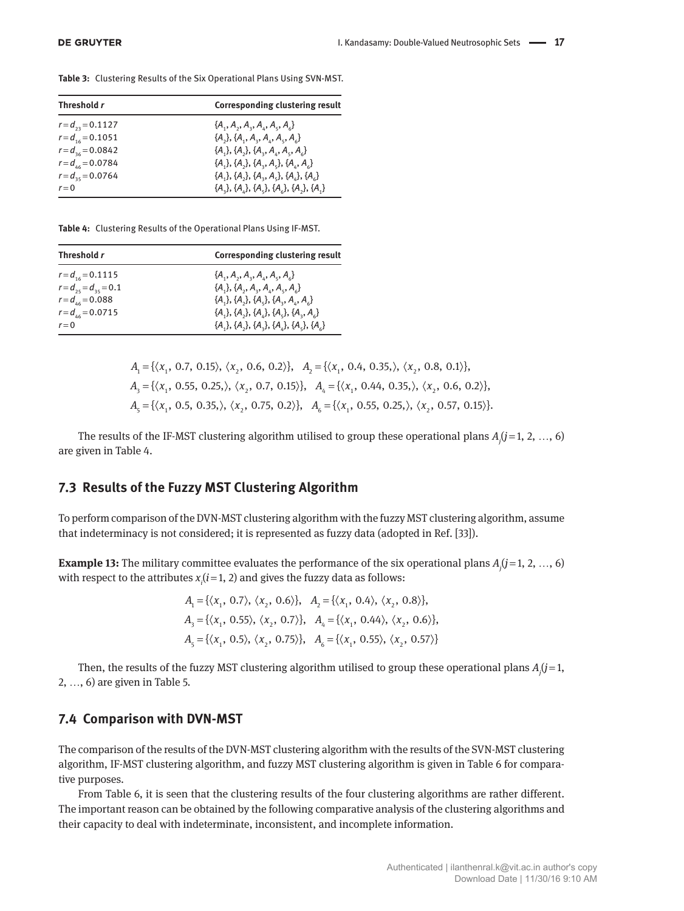**Table 3:** Clustering Results of the Six Operational Plans Using SVN-MST.

| Threshold r           | <b>Corresponding clustering result</b>     |
|-----------------------|--------------------------------------------|
| $r = d_{23} = 0.1127$ | ${A_1, A_2, A_3, A_4, A_5, A_6}$           |
| $r = d_{16} = 0.1051$ | ${A_2}, {A_1}, {A_2}, {A_4}, {A_5}, {A_6}$ |
| $r = d_{36} = 0.0842$ | ${A_1}, {A_2}, {A_3}, {A_4}, {A_5}, {A_6}$ |
| $r = d_{46} = 0.0784$ | ${A_1}, {A_2}, {A_3}, {A_4}, {A_4}, {A_6}$ |
| $r = d_{35} = 0.0764$ | ${A_1}, {A_2}, {A_3}, {A_4}, {A_5}, {A_6}$ |
| $r=0$                 | ${A_1}, {A_2}, {A_3}, {A_4}, {A_5}, {A_1}$ |

**Table 4:** Clustering Results of the Operational Plans Using IF-MST.

| Threshold r                 | <b>Corresponding clustering result</b>            |
|-----------------------------|---------------------------------------------------|
| $r = d_{16} = 0.1115$       | ${A_1, A_2, A_3, A_4, A_5, A_6}$                  |
| $r = d_{25} = d_{35} = 0.1$ | ${A_1}, {A_2}, {A_3}, {A_4}, {A_5}, {A_6}$        |
| $r = d_{46} = 0.088$        | ${A_1}, {A_2}, {A_3}, {A_4}, {A_4}, {A_6}$        |
| $r = d_{46} = 0.0715$       | ${A_1}, {A_2}, {A_3}, {A_4}, {A_5}, {A_1}, {A_2}$ |
| $r=0$                       | ${A_1}, {A_2}, {A_3}, {A_4}, {A_5}, {A_6}$        |

$$
A_1 = \{ \langle x_1, 0.7, 0.15 \rangle, \langle x_2, 0.6, 0.2 \rangle \}, A_2 = \{ \langle x_1, 0.4, 0.35, \rangle, \langle x_2, 0.8, 0.1 \rangle \},
$$
  
\n
$$
A_3 = \{ \langle x_1, 0.55, 0.25, \rangle, \langle x_2, 0.7, 0.15 \rangle \}, A_4 = \{ \langle x_1, 0.44, 0.35, \rangle, \langle x_2, 0.6, 0.2 \rangle \},
$$
  
\n
$$
A_5 = \{ \langle x_1, 0.5, 0.35, \rangle, \langle x_2, 0.75, 0.2 \rangle \}, A_6 = \{ \langle x_1, 0.55, 0.25, \rangle, \langle x_2, 0.57, 0.15 \rangle \}.
$$

The results of the IF-MST clustering algorithm utilised to group these operational plans *Aj* (*j* = 1, 2, …, 6) are given in Table 4.

## **7.3 Results of the Fuzzy MST Clustering Algorithm**

To perform comparison of the DVN-MST clustering algorithm with the fuzzy MST clustering algorithm, assume that indeterminacy is not considered; it is represented as fuzzy data (adopted in Ref. [33]).

**Example 13:** The military committee evaluates the performance of the six operational plans  $A_j$  ( $j$  = 1, 2, ..., 6) with respect to the attributes  $x_i$  ( $i$  = 1, 2) and gives the fuzzy data as follows:

$$
A_1 = \{ \langle x_1, 0.7 \rangle, \langle x_2, 0.6 \rangle \}, \quad A_2 = \{ \langle x_1, 0.4 \rangle, \langle x_2, 0.8 \rangle \},
$$
  

$$
A_3 = \{ \langle x_1, 0.55 \rangle, \langle x_2, 0.7 \rangle \}, \quad A_4 = \{ \langle x_1, 0.44 \rangle, \langle x_2, 0.6 \rangle \},
$$
  

$$
A_5 = \{ \langle x_1, 0.5 \rangle, \langle x_2, 0.75 \rangle \}, \quad A_6 = \{ \langle x_1, 0.55 \rangle, \langle x_2, 0.57 \rangle \}
$$

Then, the results of the fuzzy MST clustering algorithm utilised to group these operational plans  $A_j(j=1, j=1, j=1)$ 2, …, 6) are given in Table 5.

#### **7.4 Comparison with DVN-MST**

The comparison of the results of the DVN-MST clustering algorithm with the results of the SVN-MST clustering algorithm, IF-MST clustering algorithm, and fuzzy MST clustering algorithm is given in Table 6 for comparative purposes.

From Table 6, it is seen that the clustering results of the four clustering algorithms are rather different. The important reason can be obtained by the following comparative analysis of the clustering algorithms and their capacity to deal with indeterminate, inconsistent, and incomplete information.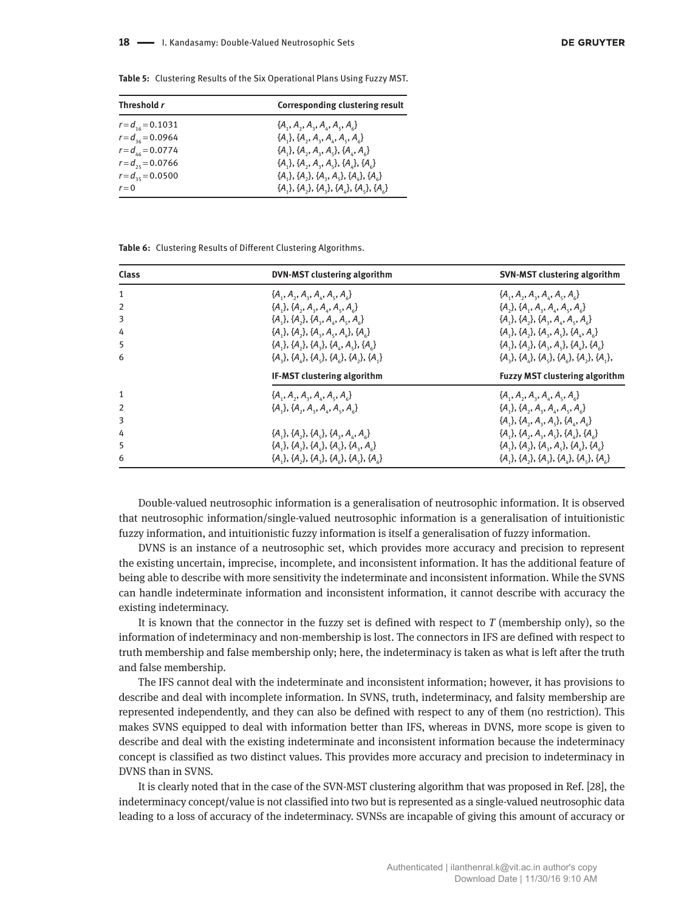**Table 5:** Clustering Results of the Six Operational Plans Using Fuzzy MST.

| Threshold r           | <b>Corresponding clustering result</b>     |
|-----------------------|--------------------------------------------|
| $r = d_{16} = 0.1031$ | ${A_1, A_2, A_3, A_4, A_5, A_6}$           |
| $r = d_{36} = 0.0964$ | ${A_1}, {A_2}, {A_3}, {A_4}, {A_5}, {A_6}$ |
| $r = d_{46} = 0.0774$ | ${A_1}, {A_2}, {A_3}, {A_4}, {A_5}, {A_6}$ |
| $r = d_{25} = 0.0766$ | ${A_1}, {A_2}, {A_3}, {A_4}, {A_5}, {A_6}$ |
| $r = d_{35} = 0.0500$ | ${A_1}, {A_2}, {A_3}, {A_4}, {A_5}, {A_6}$ |
| $r = 0$               | ${A_1}, {A_2}, {A_3}, {A_4}, {A_5}, {A_6}$ |

**Table 6:** Clustering Results of Different Clustering Algorithms.

| <b>Class</b>   | DVN-MST clustering algorithm                           | <b>SVN-MST clustering algorithm</b>                |
|----------------|--------------------------------------------------------|----------------------------------------------------|
| 1              | ${A_1, A_2, A_3, A_4, A_5, A_6}$                       | ${A_1, A_2, A_3, A_4, A_5, A_6}$                   |
|                | ${A_1}, {A_2}, {A_3}, {A_4}, {A_5}, {A_6}$             | ${A_1}, {A_2}, {A_3}, {A_4}, {A_5}, {A_6}$         |
| 3              | ${A_1}, {A_2}, {A_3}, {A_4}, {A_5}, {A_6}$             | ${A_1}, {A_2}, {A_3}, {A_4}, {A_5}, {A_6}$         |
| 4              | ${A_1}, {A_2}, {A_3}, {A_4}, {A_4}, {A_6}$             | ${A_1}, {A_2}, {A_3}, {A_4}, {A_6}$                |
| 5              | ${A_1}, {A_2}, {A_3}, {A_4}, {A_5}, {A_6}$             | ${A_1}, {A_2}, {A_3}, {A_4}, {A_4}, {A_5}$         |
| 6              | $\{A_3\}, \{A_4\}, \{A_5\}, \{A_6\}, \{A_3\}, \{A_4\}$ | ${A_1}, {A_2}, {A_3}, {A_4}, {A_5}, {A_1}, {A_1},$ |
|                | IF-MST clustering algorithm                            | <b>Fuzzy MST clustering algorithm</b>              |
| 1              | ${A_1, A_2, A_3, A_4, A_5, A_6}$                       | ${A_1, A_2, A_3, A_4, A_5, A_6}$                   |
| $\overline{2}$ | ${A,}, {A, A, A, A, A, A}$                             | ${A_1}, {A_2}, {A_3}, {A_4}, {A_5}, {A_6}$         |
| 3              |                                                        | ${A_1}, {A_2}, {A_3}, {A_4}, {A_4}, {A_6}$         |
| 4              | ${A_1}, {A_2}, {A_3}, {A_4}, {A_4}, {A_6}$             | ${A_1}, {A_2}, {A_3}, {A_4}, {A_5}, {A_6}$         |
| 5              | ${A_1}, {A_2}, {A_4}, {A_5}, {A_7}, {A_8}$             | ${A_1}, {A_2}, {A_3}, {A_4}, {A_4}, {A_6}$         |
| 6              | ${A_1}, {A_2}, {A_3}, {A_4}, {A_5}, {A_5}, {A_6}$      | ${A_1}, {A_2}, {A_3}, {A_4}, {A_5}, {A_6}$         |

Double-valued neutrosophic information is a generalisation of neutrosophic information. It is observed that neutrosophic information/single-valued neutrosophic information is a generalisation of intuitionistic fuzzy information, and intuitionistic fuzzy information is itself a generalisation of fuzzy information.

DVNS is an instance of a neutrosophic set, which provides more accuracy and precision to represent the existing uncertain, imprecise, incomplete, and inconsistent information. It has the additional feature of being able to describe with more sensitivity the indeterminate and inconsistent information. While the SVNS can handle indeterminate information and inconsistent information, it cannot describe with accuracy the existing indeterminacy.

It is known that the connector in the fuzzy set is defined with respect to *T* (membership only), so the information of indeterminacy and non-membership is lost. The connectors in IFS are defined with respect to truth membership and false membership only; here, the indeterminacy is taken as what is left after the truth and false membership.

The IFS cannot deal with the indeterminate and inconsistent information; however, it has provisions to describe and deal with incomplete information. In SVNS, truth, indeterminacy, and falsity membership are represented independently, and they can also be defined with respect to any of them (no restriction). This makes SVNS equipped to deal with information better than IFS, whereas in DVNS, more scope is given to describe and deal with the existing indeterminate and inconsistent information because the indeterminacy concept is classified as two distinct values. This provides more accuracy and precision to indeterminacy in DVNS than in SVNS.

It is clearly noted that in the case of the SVN-MST clustering algorithm that was proposed in Ref. [28], the indeterminacy concept/value is not classified into two but is represented as a single-valued neutrosophic data leading to a loss of accuracy of the indeterminacy. SVNSs are incapable of giving this amount of accuracy or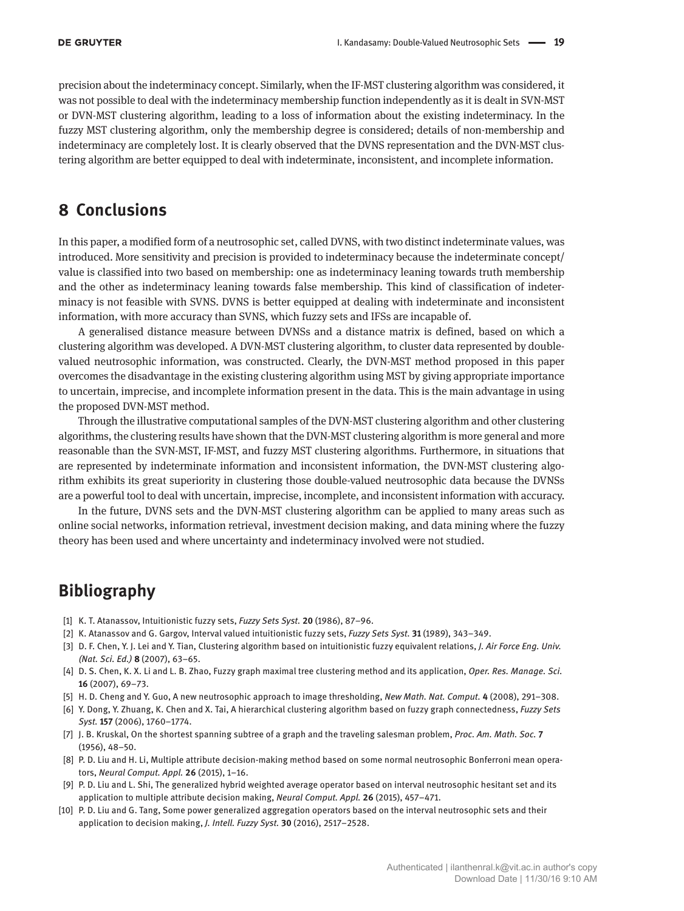precision about the indeterminacy concept. Similarly, when the IF-MST clustering algorithm was considered, it was not possible to deal with the indeterminacy membership function independently as it is dealt in SVN-MST or DVN-MST clustering algorithm, leading to a loss of information about the existing indeterminacy. In the fuzzy MST clustering algorithm, only the membership degree is considered; details of non-membership and indeterminacy are completely lost. It is clearly observed that the DVNS representation and the DVN-MST clustering algorithm are better equipped to deal with indeterminate, inconsistent, and incomplete information.

## **8 Conclusions**

In this paper, a modified form of a neutrosophic set, called DVNS, with two distinct indeterminate values, was introduced. More sensitivity and precision is provided to indeterminacy because the indeterminate concept/ value is classified into two based on membership: one as indeterminacy leaning towards truth membership and the other as indeterminacy leaning towards false membership. This kind of classification of indeterminacy is not feasible with SVNS. DVNS is better equipped at dealing with indeterminate and inconsistent information, with more accuracy than SVNS, which fuzzy sets and IFSs are incapable of.

A generalised distance measure between DVNSs and a distance matrix is defined, based on which a clustering algorithm was developed. A DVN-MST clustering algorithm, to cluster data represented by doublevalued neutrosophic information, was constructed. Clearly, the DVN-MST method proposed in this paper overcomes the disadvantage in the existing clustering algorithm using MST by giving appropriate importance to uncertain, imprecise, and incomplete information present in the data. This is the main advantage in using the proposed DVN-MST method.

Through the illustrative computational samples of the DVN-MST clustering algorithm and other clustering algorithms, the clustering results have shown that the DVN-MST clustering algorithm is more general and more reasonable than the SVN-MST, IF-MST, and fuzzy MST clustering algorithms. Furthermore, in situations that are represented by indeterminate information and inconsistent information, the DVN-MST clustering algorithm exhibits its great superiority in clustering those double-valued neutrosophic data because the DVNSs are a powerful tool to deal with uncertain, imprecise, incomplete, and inconsistent information with accuracy.

In the future, DVNS sets and the DVN-MST clustering algorithm can be applied to many areas such as online social networks, information retrieval, investment decision making, and data mining where the fuzzy theory has been used and where uncertainty and indeterminacy involved were not studied.

# **Bibliography**

- [1] K. T. Atanassov, Intuitionistic fuzzy sets, *Fuzzy Sets Syst.* **20** (1986), 87–96.
- [2] K. Atanassov and G. Gargov, Interval valued intuitionistic fuzzy sets, *Fuzzy Sets Syst.* **31** (1989), 343–349.
- [3] D. F. Chen, Y. J. Lei and Y. Tian, Clustering algorithm based on intuitionistic fuzzy equivalent relations, *J. Air Force Eng. Univ. (Nat. Sci. Ed.)* **8** (2007), 63–65.
- [4] D. S. Chen, K. X. Li and L. B. Zhao, Fuzzy graph maximal tree clustering method and its application, *Oper. Res. Manage. Sci.* **16** (2007), 69–73.
- [5] H. D. Cheng and Y. Guo, A new neutrosophic approach to image thresholding, *New Math. Nat. Comput.* **4** (2008), 291–308.
- [6] Y. Dong, Y. Zhuang, K. Chen and X. Tai, A hierarchical clustering algorithm based on fuzzy graph connectedness, *Fuzzy Sets Syst.* **157** (2006), 1760–1774.
- [7] J. B. Kruskal, On the shortest spanning subtree of a graph and the traveling salesman problem, *Proc. Am. Math. Soc.* **7** (1956), 48–50.
- [8] P. D. Liu and H. Li, Multiple attribute decision-making method based on some normal neutrosophic Bonferroni mean operators, *Neural Comput. Appl.* **26** (2015), 1–16.
- [9] P. D. Liu and L. Shi, The generalized hybrid weighted average operator based on interval neutrosophic hesitant set and its application to multiple attribute decision making, *Neural Comput. Appl.* **26** (2015), 457–471.
- [10] P. D. Liu and G. Tang, Some power generalized aggregation operators based on the interval neutrosophic sets and their application to decision making, *J. Intell. Fuzzy Syst.* **30** (2016), 2517–2528.